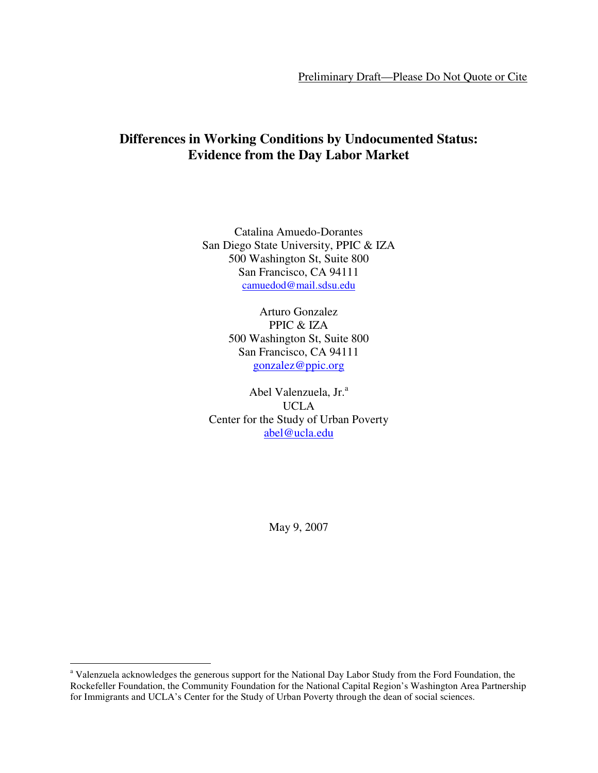# **Differences in Working Conditions by Undocumented Status: Evidence from the Day Labor Market**

Catalina Amuedo-Dorantes San Diego State University, PPIC & IZA 500 Washington St, Suite 800 San Francisco, CA 94111 camuedod@mail.sdsu.edu

> Arturo Gonzalez PPIC & IZA 500 Washington St, Suite 800 San Francisco, CA 94111 gonzalez@ppic.org

Abel Valenzuela, Jr.<sup>a</sup> UCLA Center for the Study of Urban Poverty abel@ucla.edu

May 9, 2007

 $\overline{a}$ 

<sup>&</sup>lt;sup>a</sup> Valenzuela acknowledges the generous support for the National Day Labor Study from the Ford Foundation, the Rockefeller Foundation, the Community Foundation for the National Capital Region's Washington Area Partnership for Immigrants and UCLA's Center for the Study of Urban Poverty through the dean of social sciences.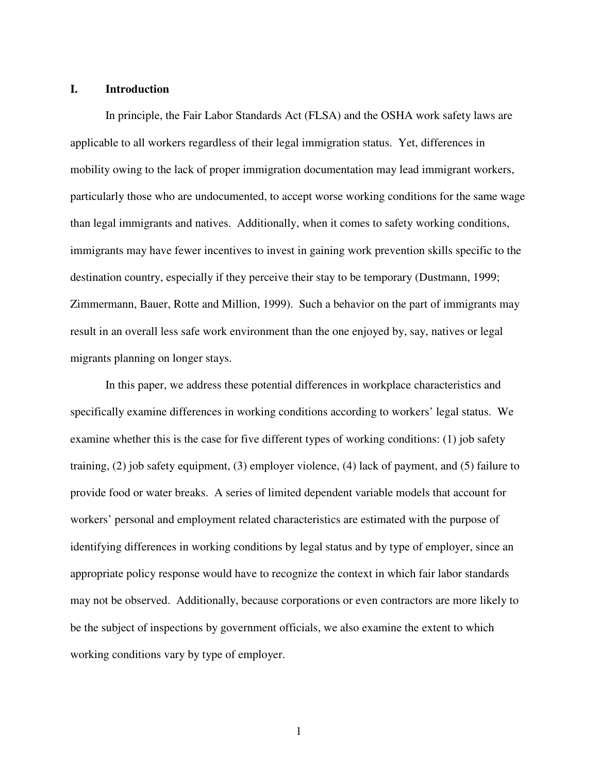# **I. Introduction**

In principle, the Fair Labor Standards Act (FLSA) and the OSHA work safety laws are applicable to all workers regardless of their legal immigration status. Yet, differences in mobility owing to the lack of proper immigration documentation may lead immigrant workers, particularly those who are undocumented, to accept worse working conditions for the same wage than legal immigrants and natives. Additionally, when it comes to safety working conditions, immigrants may have fewer incentives to invest in gaining work prevention skills specific to the destination country, especially if they perceive their stay to be temporary (Dustmann, 1999; Zimmermann, Bauer, Rotte and Million, 1999). Such a behavior on the part of immigrants may result in an overall less safe work environment than the one enjoyed by, say, natives or legal migrants planning on longer stays.

In this paper, we address these potential differences in workplace characteristics and specifically examine differences in working conditions according to workers' legal status. We examine whether this is the case for five different types of working conditions: (1) job safety training, (2) job safety equipment, (3) employer violence, (4) lack of payment, and (5) failure to provide food or water breaks. A series of limited dependent variable models that account for workers' personal and employment related characteristics are estimated with the purpose of identifying differences in working conditions by legal status and by type of employer, since an appropriate policy response would have to recognize the context in which fair labor standards may not be observed. Additionally, because corporations or even contractors are more likely to be the subject of inspections by government officials, we also examine the extent to which working conditions vary by type of employer.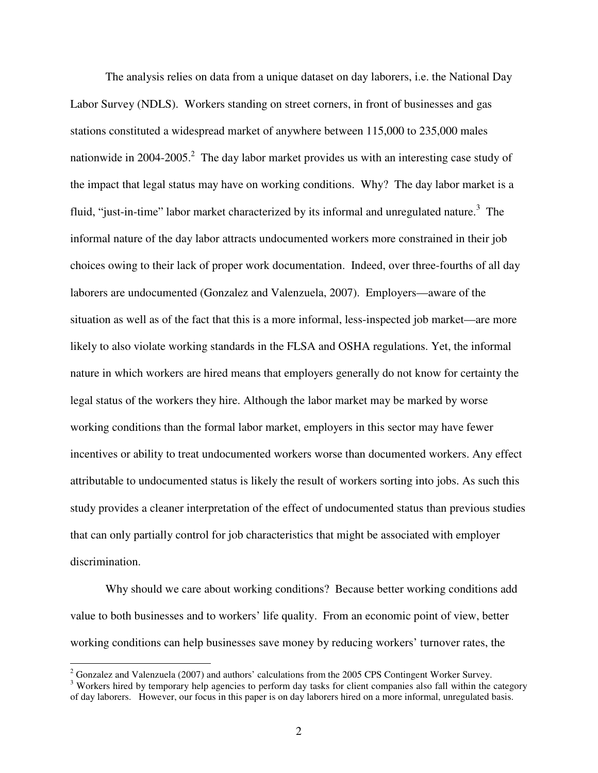The analysis relies on data from a unique dataset on day laborers, i.e. the National Day Labor Survey (NDLS). Workers standing on street corners, in front of businesses and gas stations constituted a widespread market of anywhere between 115,000 to 235,000 males nationwide in 2004-2005.<sup>2</sup> The day labor market provides us with an interesting case study of the impact that legal status may have on working conditions. Why? The day labor market is a fluid, "just-in-time" labor market characterized by its informal and unregulated nature.<sup>3</sup> The informal nature of the day labor attracts undocumented workers more constrained in their job choices owing to their lack of proper work documentation. Indeed, over three-fourths of all day laborers are undocumented (Gonzalez and Valenzuela, 2007). Employers—aware of the situation as well as of the fact that this is a more informal, less-inspected job market—are more likely to also violate working standards in the FLSA and OSHA regulations. Yet, the informal nature in which workers are hired means that employers generally do not know for certainty the legal status of the workers they hire. Although the labor market may be marked by worse working conditions than the formal labor market, employers in this sector may have fewer incentives or ability to treat undocumented workers worse than documented workers. Any effect attributable to undocumented status is likely the result of workers sorting into jobs. As such this study provides a cleaner interpretation of the effect of undocumented status than previous studies that can only partially control for job characteristics that might be associated with employer discrimination.

Why should we care about working conditions? Because better working conditions add value to both businesses and to workers' life quality. From an economic point of view, better working conditions can help businesses save money by reducing workers' turnover rates, the

 $\overline{a}$ 

 $2^2$  Gonzalez and Valenzuela (2007) and authors' calculations from the 2005 CPS Contingent Worker Survey.

 $3$  Workers hired by temporary help agencies to perform day tasks for client companies also fall within the category of day laborers. However, our focus in this paper is on day laborers hired on a more informal, unregulated basis.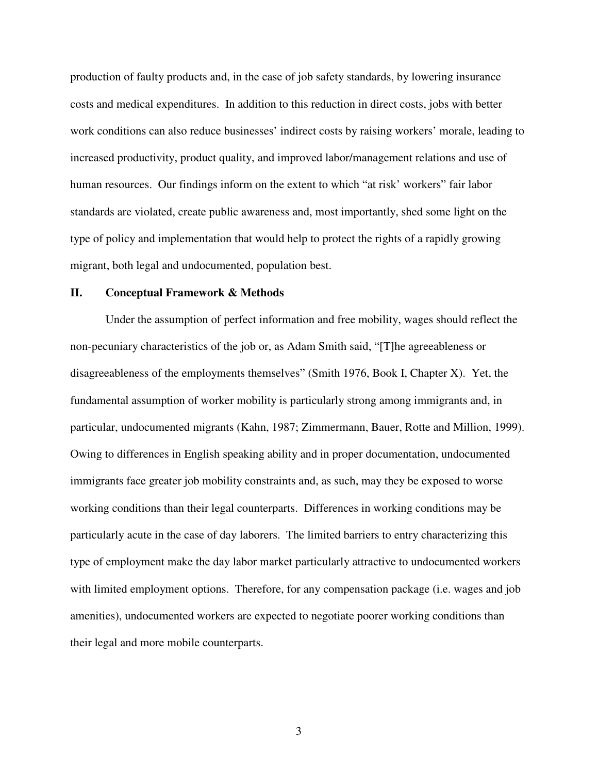production of faulty products and, in the case of job safety standards, by lowering insurance costs and medical expenditures. In addition to this reduction in direct costs, jobs with better work conditions can also reduce businesses' indirect costs by raising workers' morale, leading to increased productivity, product quality, and improved labor/management relations and use of human resources. Our findings inform on the extent to which "at risk' workers" fair labor standards are violated, create public awareness and, most importantly, shed some light on the type of policy and implementation that would help to protect the rights of a rapidly growing migrant, both legal and undocumented, population best.

# **II. Conceptual Framework & Methods**

 Under the assumption of perfect information and free mobility, wages should reflect the non-pecuniary characteristics of the job or, as Adam Smith said, "[T]he agreeableness or disagreeableness of the employments themselves" (Smith 1976, Book I, Chapter X). Yet, the fundamental assumption of worker mobility is particularly strong among immigrants and, in particular, undocumented migrants (Kahn, 1987; Zimmermann, Bauer, Rotte and Million, 1999). Owing to differences in English speaking ability and in proper documentation, undocumented immigrants face greater job mobility constraints and, as such, may they be exposed to worse working conditions than their legal counterparts. Differences in working conditions may be particularly acute in the case of day laborers. The limited barriers to entry characterizing this type of employment make the day labor market particularly attractive to undocumented workers with limited employment options. Therefore, for any compensation package (i.e. wages and job amenities), undocumented workers are expected to negotiate poorer working conditions than their legal and more mobile counterparts.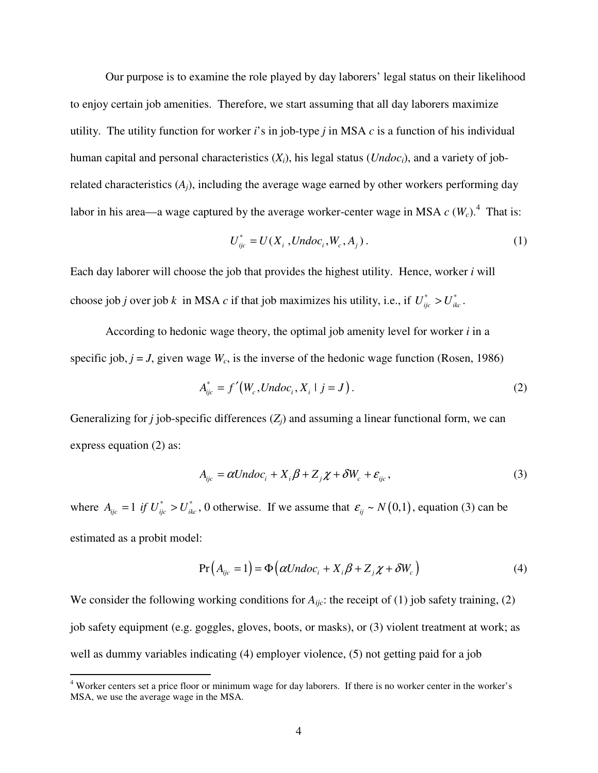Our purpose is to examine the role played by day laborers' legal status on their likelihood to enjoy certain job amenities. Therefore, we start assuming that all day laborers maximize utility. The utility function for worker *i*'s in job-type *j* in MSA *c* is a function of his individual human capital and personal characteristics  $(X_i)$ , his legal status  $(Undoc_i)$ , and a variety of jobrelated characteristics  $(A_i)$ , including the average wage earned by other workers performing day labor in his area—a wage captured by the average worker-center wage in MSA  $c$  ( $W_c$ ).<sup>4</sup> That is:

$$
U_{ijc}^* = U(X_i, Undoc_i, W_c, A_j).
$$
 (1)

Each day laborer will choose the job that provides the highest utility. Hence, worker *i* will choose job *j* over job *k* in MSA *c* if that job maximizes his utility, i.e., if  $U_{ijc}^* > U_{ikc}^*$ .

According to hedonic wage theory, the optimal job amenity level for worker *i* in a specific job,  $j = J$ , given wage  $W_c$ , is the inverse of the hedonic wage function (Rosen, 1986)

$$
A_{ijc}^* = f'(W_c, Undoc_i, X_i \mid j = J).
$$
 (2)

Generalizing for *j* job-specific differences  $(Z_i)$  and assuming a linear functional form, we can express equation (2) as:

$$
A_{ijc} = \alpha Undoc_i + X_i \beta + Z_j \chi + \delta W_c + \varepsilon_{ijc},
$$
\n(3)

where  $A_{ijc} = 1$  *if*  $U_{ijc}^* > U_{ikc}^*$ , 0 otherwise. If we assume that  $\varepsilon_{ij} \sim N(0,1)$ , equation (3) can be estimated as a probit model:

$$
Pr(A_{ijc} = 1) = \Phi\left(\alpha Undoc_i + X_i\beta + Z_j\chi + \delta W_c\right)
$$
\n(4)

We consider the following working conditions for  $A_{ijc}$ : the receipt of (1) job safety training, (2) job safety equipment (e.g. goggles, gloves, boots, or masks), or (3) violent treatment at work; as well as dummy variables indicating (4) employer violence, (5) not getting paid for a job

 4 Worker centers set a price floor or minimum wage for day laborers. If there is no worker center in the worker's MSA, we use the average wage in the MSA.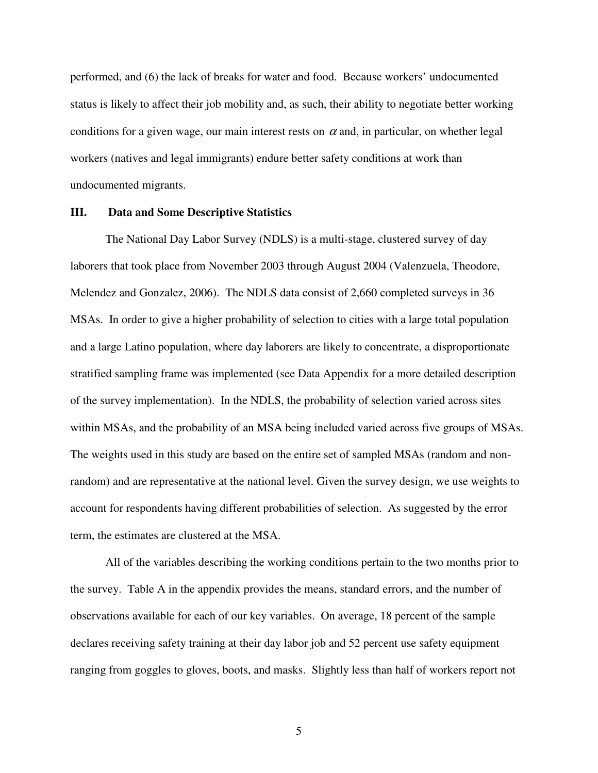performed, and (6) the lack of breaks for water and food. Because workers' undocumented status is likely to affect their job mobility and, as such, their ability to negotiate better working conditions for a given wage, our main interest rests on  $\alpha$  and, in particular, on whether legal workers (natives and legal immigrants) endure better safety conditions at work than undocumented migrants.

#### **III. Data and Some Descriptive Statistics**

The National Day Labor Survey (NDLS) is a multi-stage, clustered survey of day laborers that took place from November 2003 through August 2004 (Valenzuela, Theodore, Melendez and Gonzalez, 2006). The NDLS data consist of 2,660 completed surveys in 36 MSAs. In order to give a higher probability of selection to cities with a large total population and a large Latino population, where day laborers are likely to concentrate, a disproportionate stratified sampling frame was implemented (see Data Appendix for a more detailed description of the survey implementation). In the NDLS, the probability of selection varied across sites within MSAs, and the probability of an MSA being included varied across five groups of MSAs. The weights used in this study are based on the entire set of sampled MSAs (random and nonrandom) and are representative at the national level. Given the survey design, we use weights to account for respondents having different probabilities of selection. As suggested by the error term, the estimates are clustered at the MSA.

All of the variables describing the working conditions pertain to the two months prior to the survey. Table A in the appendix provides the means, standard errors, and the number of observations available for each of our key variables. On average, 18 percent of the sample declares receiving safety training at their day labor job and 52 percent use safety equipment ranging from goggles to gloves, boots, and masks. Slightly less than half of workers report not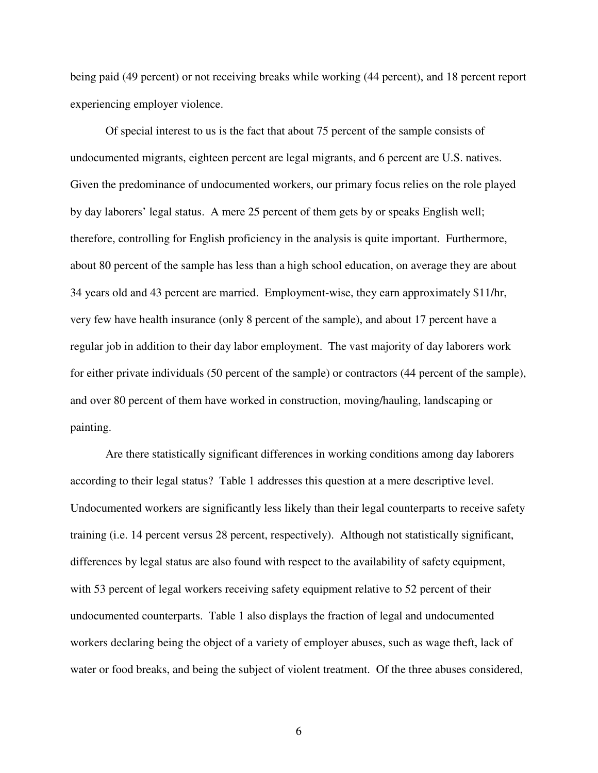being paid (49 percent) or not receiving breaks while working (44 percent), and 18 percent report experiencing employer violence.

Of special interest to us is the fact that about 75 percent of the sample consists of undocumented migrants, eighteen percent are legal migrants, and 6 percent are U.S. natives. Given the predominance of undocumented workers, our primary focus relies on the role played by day laborers' legal status. A mere 25 percent of them gets by or speaks English well; therefore, controlling for English proficiency in the analysis is quite important. Furthermore, about 80 percent of the sample has less than a high school education, on average they are about 34 years old and 43 percent are married. Employment-wise, they earn approximately \$11/hr, very few have health insurance (only 8 percent of the sample), and about 17 percent have a regular job in addition to their day labor employment. The vast majority of day laborers work for either private individuals (50 percent of the sample) or contractors (44 percent of the sample), and over 80 percent of them have worked in construction, moving/hauling, landscaping or painting.

Are there statistically significant differences in working conditions among day laborers according to their legal status? Table 1 addresses this question at a mere descriptive level. Undocumented workers are significantly less likely than their legal counterparts to receive safety training (i.e. 14 percent versus 28 percent, respectively). Although not statistically significant, differences by legal status are also found with respect to the availability of safety equipment, with 53 percent of legal workers receiving safety equipment relative to 52 percent of their undocumented counterparts. Table 1 also displays the fraction of legal and undocumented workers declaring being the object of a variety of employer abuses, such as wage theft, lack of water or food breaks, and being the subject of violent treatment. Of the three abuses considered,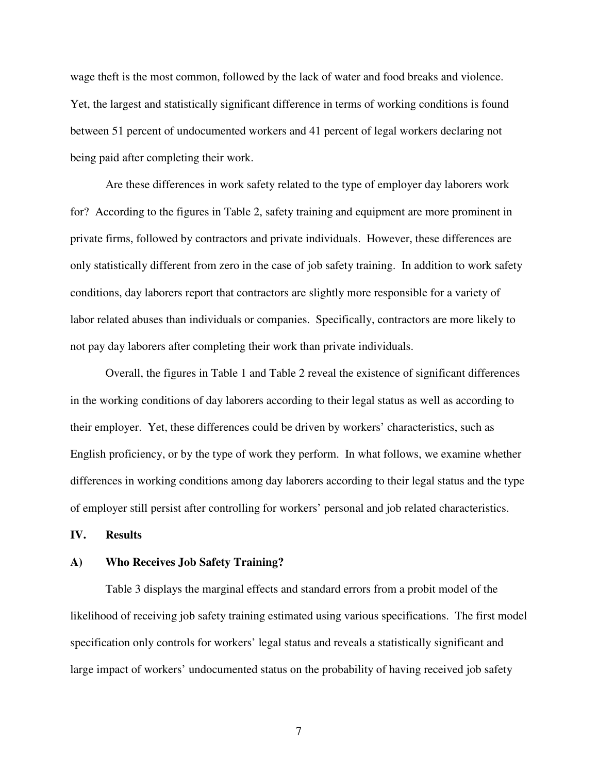wage theft is the most common, followed by the lack of water and food breaks and violence. Yet, the largest and statistically significant difference in terms of working conditions is found between 51 percent of undocumented workers and 41 percent of legal workers declaring not being paid after completing their work.

Are these differences in work safety related to the type of employer day laborers work for? According to the figures in Table 2, safety training and equipment are more prominent in private firms, followed by contractors and private individuals. However, these differences are only statistically different from zero in the case of job safety training. In addition to work safety conditions, day laborers report that contractors are slightly more responsible for a variety of labor related abuses than individuals or companies. Specifically, contractors are more likely to not pay day laborers after completing their work than private individuals.

Overall, the figures in Table 1 and Table 2 reveal the existence of significant differences in the working conditions of day laborers according to their legal status as well as according to their employer. Yet, these differences could be driven by workers' characteristics, such as English proficiency, or by the type of work they perform. In what follows, we examine whether differences in working conditions among day laborers according to their legal status and the type of employer still persist after controlling for workers' personal and job related characteristics.

**IV. Results** 

#### **A) Who Receives Job Safety Training?**

Table 3 displays the marginal effects and standard errors from a probit model of the likelihood of receiving job safety training estimated using various specifications. The first model specification only controls for workers' legal status and reveals a statistically significant and large impact of workers' undocumented status on the probability of having received job safety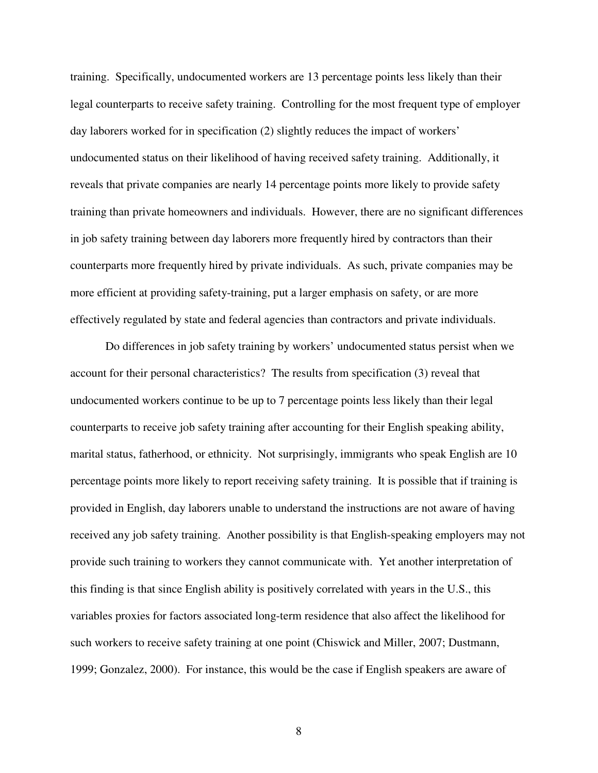training. Specifically, undocumented workers are 13 percentage points less likely than their legal counterparts to receive safety training. Controlling for the most frequent type of employer day laborers worked for in specification (2) slightly reduces the impact of workers' undocumented status on their likelihood of having received safety training. Additionally, it reveals that private companies are nearly 14 percentage points more likely to provide safety training than private homeowners and individuals. However, there are no significant differences in job safety training between day laborers more frequently hired by contractors than their counterparts more frequently hired by private individuals. As such, private companies may be more efficient at providing safety-training, put a larger emphasis on safety, or are more effectively regulated by state and federal agencies than contractors and private individuals.

Do differences in job safety training by workers' undocumented status persist when we account for their personal characteristics? The results from specification (3) reveal that undocumented workers continue to be up to 7 percentage points less likely than their legal counterparts to receive job safety training after accounting for their English speaking ability, marital status, fatherhood, or ethnicity. Not surprisingly, immigrants who speak English are 10 percentage points more likely to report receiving safety training. It is possible that if training is provided in English, day laborers unable to understand the instructions are not aware of having received any job safety training. Another possibility is that English-speaking employers may not provide such training to workers they cannot communicate with. Yet another interpretation of this finding is that since English ability is positively correlated with years in the U.S., this variables proxies for factors associated long-term residence that also affect the likelihood for such workers to receive safety training at one point (Chiswick and Miller, 2007; Dustmann, 1999; Gonzalez, 2000). For instance, this would be the case if English speakers are aware of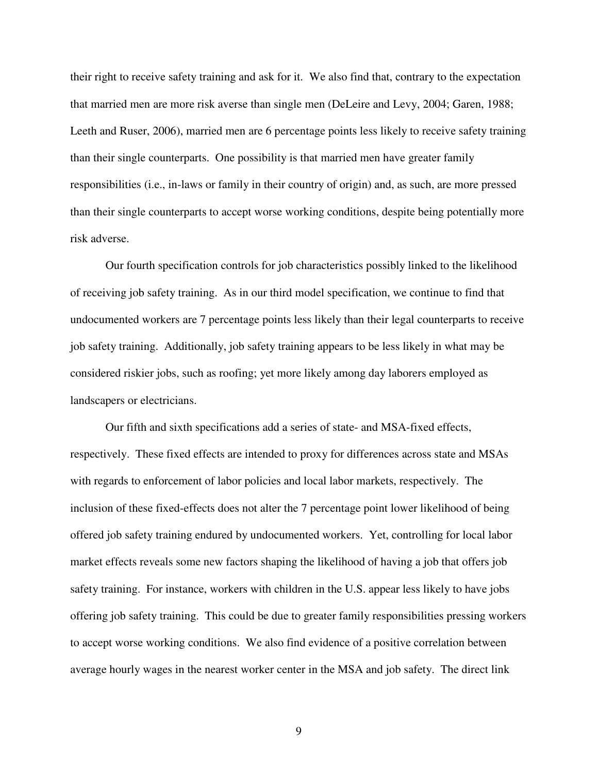their right to receive safety training and ask for it. We also find that, contrary to the expectation that married men are more risk averse than single men (DeLeire and Levy, 2004; Garen, 1988; Leeth and Ruser, 2006), married men are 6 percentage points less likely to receive safety training than their single counterparts. One possibility is that married men have greater family responsibilities (i.e., in-laws or family in their country of origin) and, as such, are more pressed than their single counterparts to accept worse working conditions, despite being potentially more risk adverse.

Our fourth specification controls for job characteristics possibly linked to the likelihood of receiving job safety training. As in our third model specification, we continue to find that undocumented workers are 7 percentage points less likely than their legal counterparts to receive job safety training. Additionally, job safety training appears to be less likely in what may be considered riskier jobs, such as roofing; yet more likely among day laborers employed as landscapers or electricians.

Our fifth and sixth specifications add a series of state- and MSA-fixed effects, respectively. These fixed effects are intended to proxy for differences across state and MSAs with regards to enforcement of labor policies and local labor markets, respectively. The inclusion of these fixed-effects does not alter the 7 percentage point lower likelihood of being offered job safety training endured by undocumented workers. Yet, controlling for local labor market effects reveals some new factors shaping the likelihood of having a job that offers job safety training. For instance, workers with children in the U.S. appear less likely to have jobs offering job safety training. This could be due to greater family responsibilities pressing workers to accept worse working conditions. We also find evidence of a positive correlation between average hourly wages in the nearest worker center in the MSA and job safety. The direct link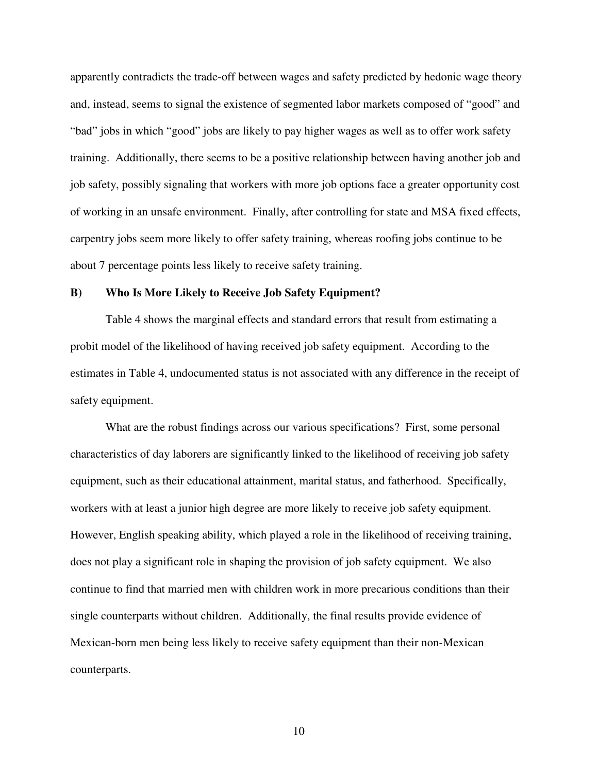apparently contradicts the trade-off between wages and safety predicted by hedonic wage theory and, instead, seems to signal the existence of segmented labor markets composed of "good" and "bad" jobs in which "good" jobs are likely to pay higher wages as well as to offer work safety training. Additionally, there seems to be a positive relationship between having another job and job safety, possibly signaling that workers with more job options face a greater opportunity cost of working in an unsafe environment. Finally, after controlling for state and MSA fixed effects, carpentry jobs seem more likely to offer safety training, whereas roofing jobs continue to be about 7 percentage points less likely to receive safety training.

#### **B) Who Is More Likely to Receive Job Safety Equipment?**

Table 4 shows the marginal effects and standard errors that result from estimating a probit model of the likelihood of having received job safety equipment. According to the estimates in Table 4, undocumented status is not associated with any difference in the receipt of safety equipment.

What are the robust findings across our various specifications? First, some personal characteristics of day laborers are significantly linked to the likelihood of receiving job safety equipment, such as their educational attainment, marital status, and fatherhood. Specifically, workers with at least a junior high degree are more likely to receive job safety equipment. However, English speaking ability, which played a role in the likelihood of receiving training, does not play a significant role in shaping the provision of job safety equipment. We also continue to find that married men with children work in more precarious conditions than their single counterparts without children. Additionally, the final results provide evidence of Mexican-born men being less likely to receive safety equipment than their non-Mexican counterparts.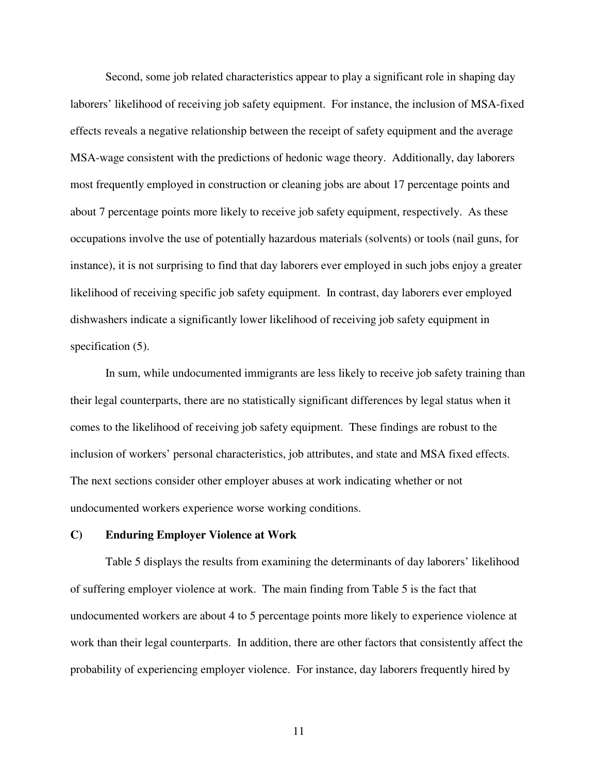Second, some job related characteristics appear to play a significant role in shaping day laborers' likelihood of receiving job safety equipment. For instance, the inclusion of MSA-fixed effects reveals a negative relationship between the receipt of safety equipment and the average MSA-wage consistent with the predictions of hedonic wage theory. Additionally, day laborers most frequently employed in construction or cleaning jobs are about 17 percentage points and about 7 percentage points more likely to receive job safety equipment, respectively. As these occupations involve the use of potentially hazardous materials (solvents) or tools (nail guns, for instance), it is not surprising to find that day laborers ever employed in such jobs enjoy a greater likelihood of receiving specific job safety equipment. In contrast, day laborers ever employed dishwashers indicate a significantly lower likelihood of receiving job safety equipment in specification  $(5)$ .

In sum, while undocumented immigrants are less likely to receive job safety training than their legal counterparts, there are no statistically significant differences by legal status when it comes to the likelihood of receiving job safety equipment. These findings are robust to the inclusion of workers' personal characteristics, job attributes, and state and MSA fixed effects. The next sections consider other employer abuses at work indicating whether or not undocumented workers experience worse working conditions.

### **C) Enduring Employer Violence at Work**

Table 5 displays the results from examining the determinants of day laborers' likelihood of suffering employer violence at work. The main finding from Table 5 is the fact that undocumented workers are about 4 to 5 percentage points more likely to experience violence at work than their legal counterparts. In addition, there are other factors that consistently affect the probability of experiencing employer violence. For instance, day laborers frequently hired by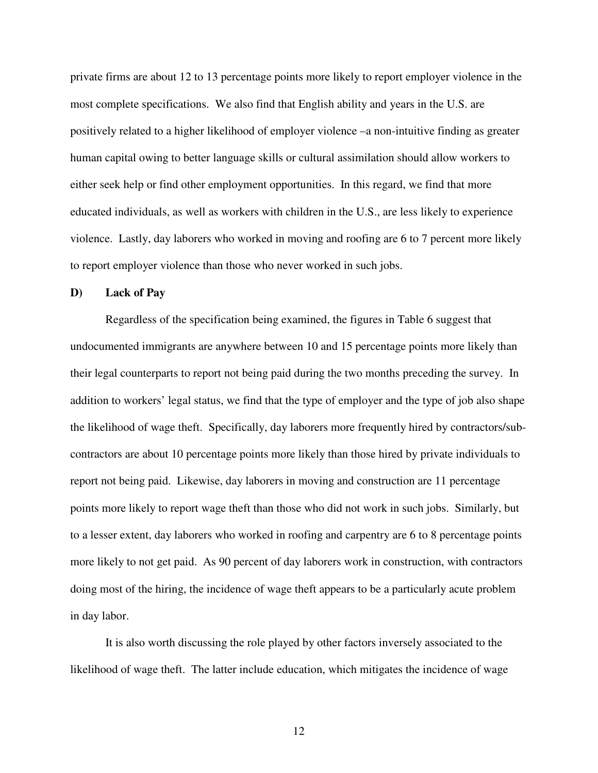private firms are about 12 to 13 percentage points more likely to report employer violence in the most complete specifications. We also find that English ability and years in the U.S. are positively related to a higher likelihood of employer violence –a non-intuitive finding as greater human capital owing to better language skills or cultural assimilation should allow workers to either seek help or find other employment opportunities. In this regard, we find that more educated individuals, as well as workers with children in the U.S., are less likely to experience violence. Lastly, day laborers who worked in moving and roofing are 6 to 7 percent more likely to report employer violence than those who never worked in such jobs.

### **D) Lack of Pay**

Regardless of the specification being examined, the figures in Table 6 suggest that undocumented immigrants are anywhere between 10 and 15 percentage points more likely than their legal counterparts to report not being paid during the two months preceding the survey. In addition to workers' legal status, we find that the type of employer and the type of job also shape the likelihood of wage theft. Specifically, day laborers more frequently hired by contractors/subcontractors are about 10 percentage points more likely than those hired by private individuals to report not being paid. Likewise, day laborers in moving and construction are 11 percentage points more likely to report wage theft than those who did not work in such jobs. Similarly, but to a lesser extent, day laborers who worked in roofing and carpentry are 6 to 8 percentage points more likely to not get paid. As 90 percent of day laborers work in construction, with contractors doing most of the hiring, the incidence of wage theft appears to be a particularly acute problem in day labor.

It is also worth discussing the role played by other factors inversely associated to the likelihood of wage theft. The latter include education, which mitigates the incidence of wage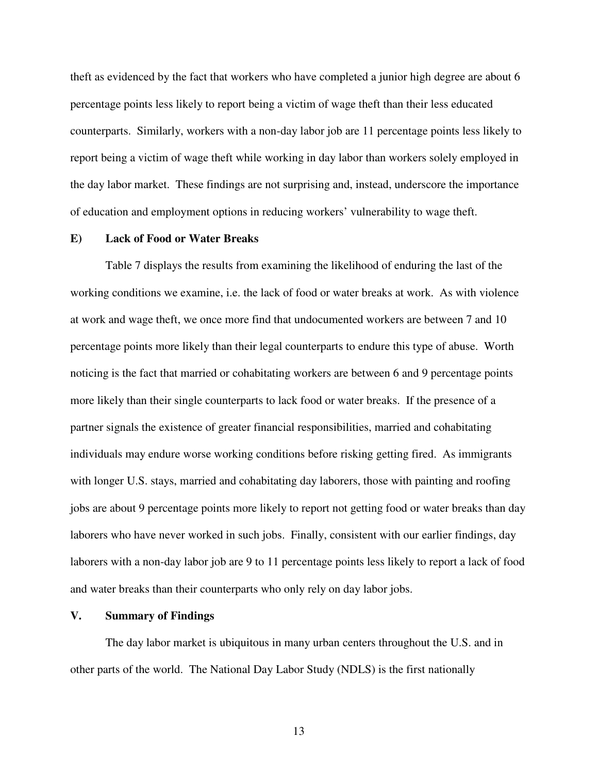theft as evidenced by the fact that workers who have completed a junior high degree are about 6 percentage points less likely to report being a victim of wage theft than their less educated counterparts. Similarly, workers with a non-day labor job are 11 percentage points less likely to report being a victim of wage theft while working in day labor than workers solely employed in the day labor market. These findings are not surprising and, instead, underscore the importance of education and employment options in reducing workers' vulnerability to wage theft.

# **E) Lack of Food or Water Breaks**

Table 7 displays the results from examining the likelihood of enduring the last of the working conditions we examine, i.e. the lack of food or water breaks at work. As with violence at work and wage theft, we once more find that undocumented workers are between 7 and 10 percentage points more likely than their legal counterparts to endure this type of abuse. Worth noticing is the fact that married or cohabitating workers are between 6 and 9 percentage points more likely than their single counterparts to lack food or water breaks. If the presence of a partner signals the existence of greater financial responsibilities, married and cohabitating individuals may endure worse working conditions before risking getting fired. As immigrants with longer U.S. stays, married and cohabitating day laborers, those with painting and roofing jobs are about 9 percentage points more likely to report not getting food or water breaks than day laborers who have never worked in such jobs. Finally, consistent with our earlier findings, day laborers with a non-day labor job are 9 to 11 percentage points less likely to report a lack of food and water breaks than their counterparts who only rely on day labor jobs.

### **V. Summary of Findings**

The day labor market is ubiquitous in many urban centers throughout the U.S. and in other parts of the world. The National Day Labor Study (NDLS) is the first nationally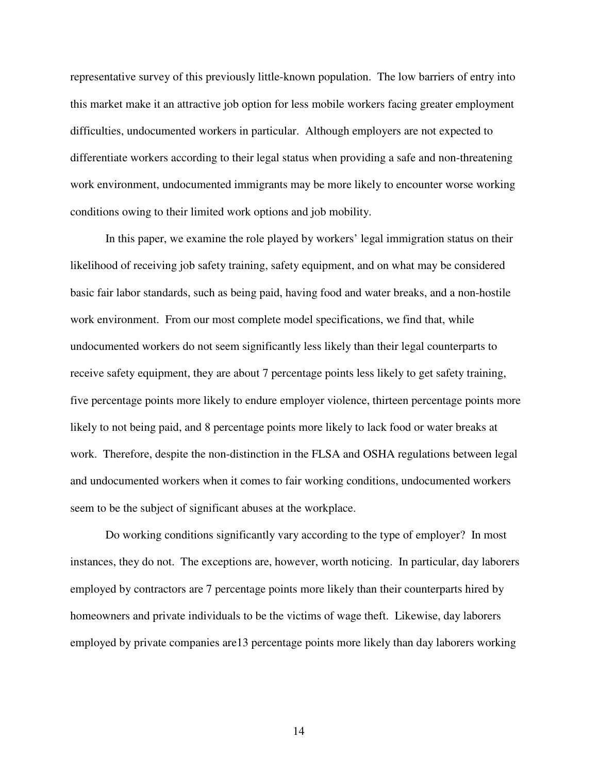representative survey of this previously little-known population. The low barriers of entry into this market make it an attractive job option for less mobile workers facing greater employment difficulties, undocumented workers in particular. Although employers are not expected to differentiate workers according to their legal status when providing a safe and non-threatening work environment, undocumented immigrants may be more likely to encounter worse working conditions owing to their limited work options and job mobility.

In this paper, we examine the role played by workers' legal immigration status on their likelihood of receiving job safety training, safety equipment, and on what may be considered basic fair labor standards, such as being paid, having food and water breaks, and a non-hostile work environment. From our most complete model specifications, we find that, while undocumented workers do not seem significantly less likely than their legal counterparts to receive safety equipment, they are about 7 percentage points less likely to get safety training, five percentage points more likely to endure employer violence, thirteen percentage points more likely to not being paid, and 8 percentage points more likely to lack food or water breaks at work. Therefore, despite the non-distinction in the FLSA and OSHA regulations between legal and undocumented workers when it comes to fair working conditions, undocumented workers seem to be the subject of significant abuses at the workplace.

 Do working conditions significantly vary according to the type of employer? In most instances, they do not. The exceptions are, however, worth noticing. In particular, day laborers employed by contractors are 7 percentage points more likely than their counterparts hired by homeowners and private individuals to be the victims of wage theft. Likewise, day laborers employed by private companies are13 percentage points more likely than day laborers working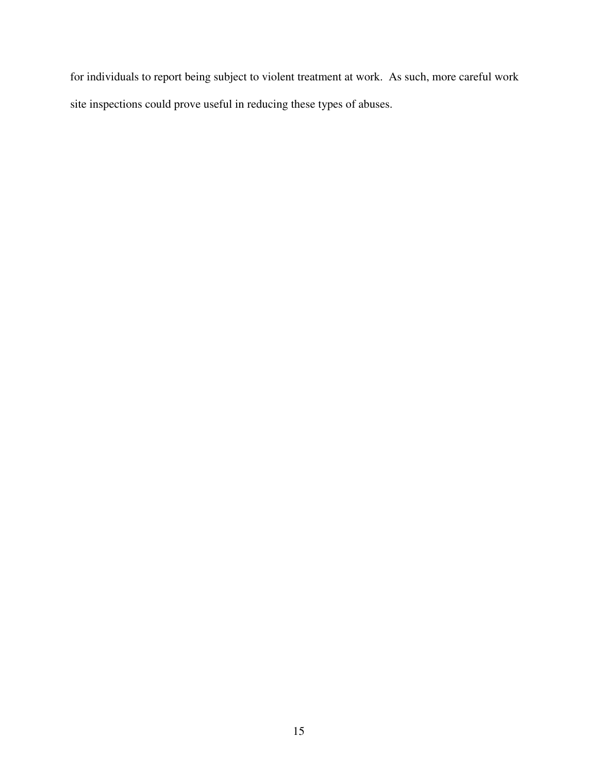for individuals to report being subject to violent treatment at work. As such, more careful work site inspections could prove useful in reducing these types of abuses.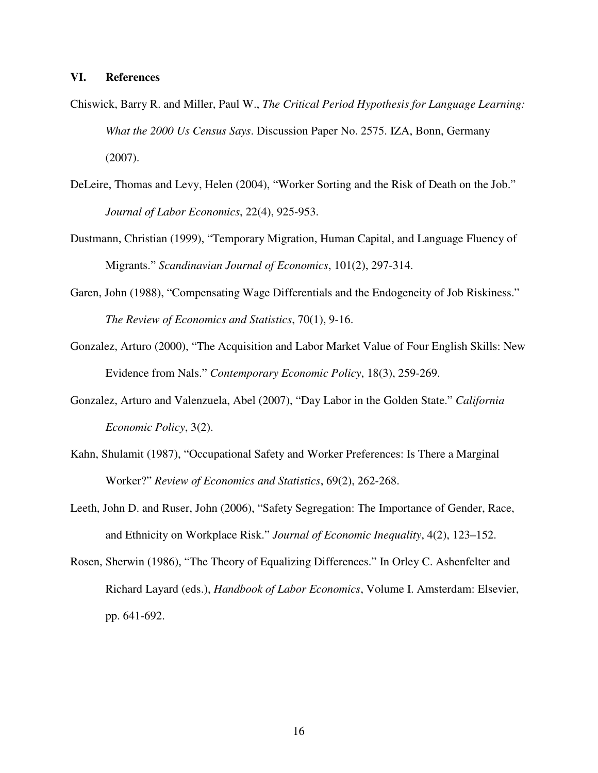# **VI. References**

- Chiswick, Barry R. and Miller, Paul W., *The Critical Period Hypothesis for Language Learning: What the 2000 Us Census Says*. Discussion Paper No. 2575. IZA, Bonn, Germany (2007).
- DeLeire, Thomas and Levy, Helen (2004), "Worker Sorting and the Risk of Death on the Job." *Journal of Labor Economics*, 22(4), 925-953.
- Dustmann, Christian (1999), "Temporary Migration, Human Capital, and Language Fluency of Migrants." *Scandinavian Journal of Economics*, 101(2), 297-314.
- Garen, John (1988), "Compensating Wage Differentials and the Endogeneity of Job Riskiness." *The Review of Economics and Statistics*, 70(1), 9-16.
- Gonzalez, Arturo (2000), "The Acquisition and Labor Market Value of Four English Skills: New Evidence from Nals." *Contemporary Economic Policy*, 18(3), 259-269.
- Gonzalez, Arturo and Valenzuela, Abel (2007), "Day Labor in the Golden State." *California Economic Policy*, 3(2).
- Kahn, Shulamit (1987), "Occupational Safety and Worker Preferences: Is There a Marginal Worker?" *Review of Economics and Statistics*, 69(2), 262-268.
- Leeth, John D. and Ruser, John (2006), "Safety Segregation: The Importance of Gender, Race, and Ethnicity on Workplace Risk." *Journal of Economic Inequality*, 4(2), 123–152.
- Rosen, Sherwin (1986), "The Theory of Equalizing Differences." In Orley C. Ashenfelter and Richard Layard (eds.), *Handbook of Labor Economics*, Volume I. Amsterdam: Elsevier, pp. 641-692.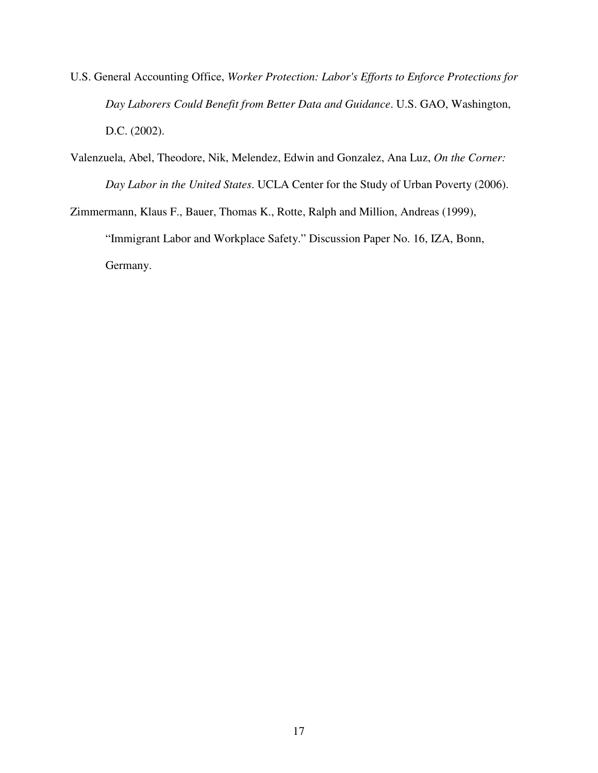- U.S. General Accounting Office, *Worker Protection: Labor's Efforts to Enforce Protections for Day Laborers Could Benefit from Better Data and Guidance*. U.S. GAO, Washington, D.C. (2002).
- Valenzuela, Abel, Theodore, Nik, Melendez, Edwin and Gonzalez, Ana Luz, *On the Corner: Day Labor in the United States*. UCLA Center for the Study of Urban Poverty (2006).

Zimmermann, Klaus F., Bauer, Thomas K., Rotte, Ralph and Million, Andreas (1999), "Immigrant Labor and Workplace Safety." Discussion Paper No. 16, IZA, Bonn, Germany.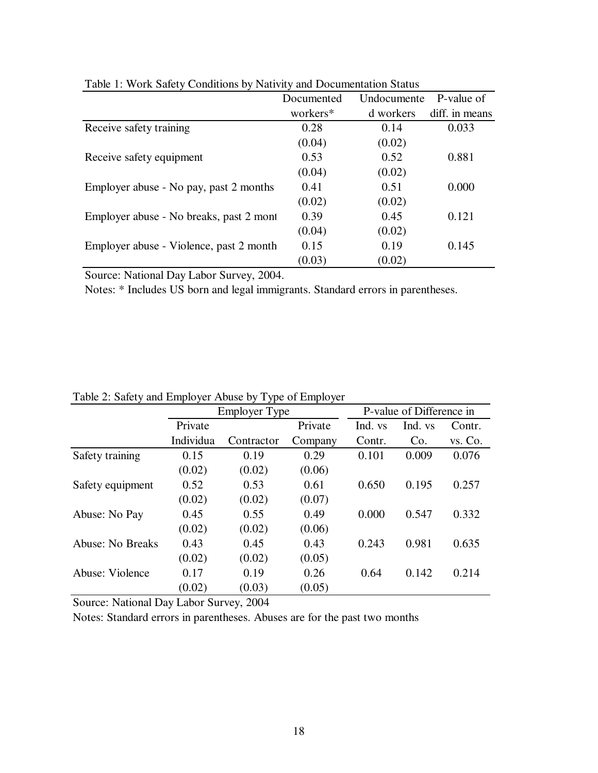| Table 1. Work barely Conditions by Futurity and Documentation Status | P-value of<br>Undocumente<br>Documented |           |                |  |  |
|----------------------------------------------------------------------|-----------------------------------------|-----------|----------------|--|--|
|                                                                      | workers*                                | d workers | diff. in means |  |  |
| Receive safety training                                              | 0.28                                    | 0.14      | 0.033          |  |  |
|                                                                      | (0.04)                                  | (0.02)    |                |  |  |
| Receive safety equipment                                             | 0.53                                    | 0.52      | 0.881          |  |  |
|                                                                      | (0.04)                                  | (0.02)    |                |  |  |
| Employer abuse - No pay, past 2 months                               | 0.41                                    | 0.51      | 0.000          |  |  |
|                                                                      | (0.02)                                  | (0.02)    |                |  |  |
| Employer abuse - No breaks, past 2 mont                              | 0.39                                    | 0.45      | 0.121          |  |  |
|                                                                      | (0.04)                                  | (0.02)    |                |  |  |
| Employer abuse - Violence, past 2 month                              | 0.15                                    | 0.19      | 0.145          |  |  |
|                                                                      | (0.03)                                  | (0.02)    |                |  |  |

Table 1: Work Safety Conditions by Nativity and Documentation Status

Source: National Day Labor Survey, 2004.

Notes: \* Includes US born and legal immigrants. Standard errors in parentheses.

Table 2: Safety and Employer Abuse by Type of Employer

| $\frac{1}{2}$ and $\frac{1}{2}$ and $\frac{1}{2}$ and $\frac{1}{2}$ and $\frac{1}{2}$ and $\frac{1}{2}$ and $\frac{1}{2}$ and $\frac{1}{2}$ and $\frac{1}{2}$ and $\frac{1}{2}$ and $\frac{1}{2}$ and $\frac{1}{2}$ and $\frac{1}{2}$ and $\frac{1}{2}$ and $\frac{1}{2}$ and $\frac{1}{2}$ a |           | <b>Employer Type</b> |         | P-value of Difference in |         |         |  |
|-----------------------------------------------------------------------------------------------------------------------------------------------------------------------------------------------------------------------------------------------------------------------------------------------|-----------|----------------------|---------|--------------------------|---------|---------|--|
|                                                                                                                                                                                                                                                                                               | Private   |                      | Private | Ind. vs                  | Ind. vs | Contr.  |  |
|                                                                                                                                                                                                                                                                                               | Individua | Contractor           | Company | Contr.                   | Co.     | vs. Co. |  |
| Safety training                                                                                                                                                                                                                                                                               | 0.15      | 0.19                 | 0.29    | 0.101                    | 0.009   | 0.076   |  |
|                                                                                                                                                                                                                                                                                               | (0.02)    | (0.02)               | (0.06)  |                          |         |         |  |
| Safety equipment                                                                                                                                                                                                                                                                              | 0.52      | 0.53                 | 0.61    | 0.650                    | 0.195   | 0.257   |  |
|                                                                                                                                                                                                                                                                                               | (0.02)    | (0.02)               | (0.07)  |                          |         |         |  |
| Abuse: No Pay                                                                                                                                                                                                                                                                                 | 0.45      | 0.55                 | 0.49    | 0.000                    | 0.547   | 0.332   |  |
|                                                                                                                                                                                                                                                                                               | (0.02)    | (0.02)               | (0.06)  |                          |         |         |  |
| <b>Abuse: No Breaks</b>                                                                                                                                                                                                                                                                       | 0.43      | 0.45                 | 0.43    | 0.243                    | 0.981   | 0.635   |  |
|                                                                                                                                                                                                                                                                                               | (0.02)    | (0.02)               | (0.05)  |                          |         |         |  |
| Abuse: Violence                                                                                                                                                                                                                                                                               | 0.17      | 0.19                 | 0.26    | 0.64                     | 0.142   | 0.214   |  |
|                                                                                                                                                                                                                                                                                               | (0.02)    | (0.03)               | (0.05)  |                          |         |         |  |

Source: National Day Labor Survey, 2004

Notes: Standard errors in parentheses. Abuses are for the past two months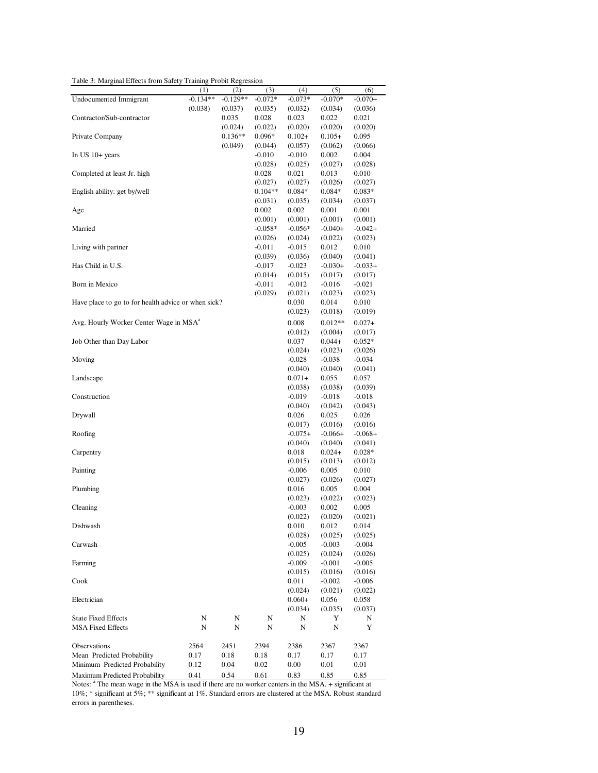Table 3: Marginal Effects from Safety Training Probit Regression

|                                                     | (1)        | (2)        | (3)       | (4)                  | (5)                 | (6)                  |
|-----------------------------------------------------|------------|------------|-----------|----------------------|---------------------|----------------------|
| <b>Undocumented Immigrant</b>                       | $-0.134**$ | $-0.129**$ | $-0.072*$ | $-0.073*$            | $-0.070*$           | $-0.070+$            |
|                                                     | (0.038)    | (0.037)    | (0.035)   | (0.032)              | (0.034)             | (0.036)              |
| Contractor/Sub-contractor                           |            | 0.035      | 0.028     | 0.023                | 0.022               | 0.021                |
|                                                     |            | (0.024)    | (0.022)   | (0.020)              | (0.020)             | (0.020)              |
| Private Company                                     |            | $0.136**$  | $0.096*$  | $0.102+$             | $0.105+$            | 0.095                |
|                                                     |            | (0.049)    | (0.044)   | (0.057)              | (0.062)             | (0.066)              |
| In US $10+$ years                                   |            |            | $-0.010$  | $-0.010$             | 0.002               | 0.004                |
|                                                     |            |            | (0.028)   | (0.025)              | (0.027)             | (0.028)              |
| Completed at least Jr. high                         |            |            | 0.028     | 0.021                | 0.013               | 0.010                |
|                                                     |            |            | (0.027)   | (0.027)              | (0.026)             | (0.027)              |
| English ability: get by/well                        |            |            | $0.104**$ | $0.084*$             | $0.084*$            | $0.083*$             |
|                                                     |            |            | (0.031)   | (0.035)              | (0.034)             | (0.037)              |
| Age                                                 |            |            | 0.002     | 0.002                | 0.001               | 0.001                |
|                                                     |            |            | (0.001)   | (0.001)              | (0.001)             | (0.001)              |
| Married                                             |            |            | $-0.058*$ | $-0.056*$            | $-0.040+$           | $-0.042+$            |
|                                                     |            |            | (0.026)   | (0.024)              | (0.022)             | (0.023)              |
| Living with partner                                 |            |            | $-0.011$  | $-0.015$             | 0.012               | 0.010                |
|                                                     |            |            | (0.039)   | (0.036)              | (0.040)             | (0.041)              |
| Has Child in U.S.                                   |            |            | -0.017    | $-0.023$             | $-0.030+$           | $-0.033+$            |
|                                                     |            |            | (0.014)   | (0.015)              | (0.017)             | (0.017)              |
| Born in Mexico                                      |            |            | $-0.011$  | $-0.012$             | $-0.016$            | $-0.021$             |
|                                                     |            |            | (0.029)   | (0.021)              | (0.023)             | (0.023)              |
| Have place to go to for health advice or when sick? |            |            |           | 0.030                | 0.014               | 0.010                |
|                                                     |            |            |           | (0.023)              | (0.018)             | (0.019)              |
| Avg. Hourly Worker Center Wage in MSA <sup>a</sup>  |            |            |           |                      | $0.012**$           |                      |
|                                                     |            |            |           | 0.008                |                     | $0.027+$             |
|                                                     |            |            |           | (0.012)<br>0.037     | (0.004)             | (0.017)              |
| Job Other than Day Labor                            |            |            |           |                      | $0.044+$            | $0.052*$             |
| Moving                                              |            |            |           | (0.024)              | (0.023)             | (0.026)              |
|                                                     |            |            |           | $-0.028$             | $-0.038$            | $-0.034$             |
| Landscape                                           |            |            |           | (0.040)              | (0.040)             | (0.041)              |
|                                                     |            |            |           | $0.071+$             | 0.055               | 0.057                |
| Construction                                        |            |            |           | (0.038)              | (0.038)             | (0.039)              |
|                                                     |            |            |           | $-0.019$             | $-0.018$            | $-0.018$             |
| Drywall                                             |            |            |           | (0.040)<br>0.026     | (0.042)<br>0.025    | (0.043)<br>0.026     |
|                                                     |            |            |           |                      | (0.016)             |                      |
| Roofing                                             |            |            |           | (0.017)<br>$-0.075+$ | $-0.066+$           | (0.016)<br>$-0.068+$ |
|                                                     |            |            |           |                      |                     |                      |
| Carpentry                                           |            |            |           | (0.040)<br>0.018     | (0.040)<br>$0.024+$ | (0.041)<br>$0.028*$  |
|                                                     |            |            |           | (0.015)              | (0.013)             | (0.012)              |
| Painting                                            |            |            |           | $-0.006$             | 0.005               | 0.010                |
|                                                     |            |            |           | (0.027)              | (0.026)             | (0.027)              |
| Plumbing                                            |            |            |           | 0.016                | 0.005               | 0.004                |
|                                                     |            |            |           | (0.023)              | (0.022)             | (0.023)              |
| Cleaning                                            |            |            |           | $-0.003$             | 0.002               | 0.005                |
|                                                     |            |            |           | (0.022)              | (0.020)             | (0.021)              |
| Dishwash                                            |            |            |           | 0.010                | 0.012               | 0.014                |
|                                                     |            |            |           | (0.028)              | (0.025)             | (0.025)              |
| Carwash                                             |            |            |           | $-0.005$             | $-0.003$            | $-0.004$             |
|                                                     |            |            |           | (0.025)              | (0.024)             | (0.026)              |
| Farming                                             |            |            |           | $-0.009$             | $-0.001$            | $-0.005$             |
|                                                     |            |            |           | (0.015)              | (0.016)             | (0.016)              |
| Cook                                                |            |            |           | 0.011                | $-0.002$            | $-0.006$             |
|                                                     |            |            |           | (0.024)              | (0.021)             | (0.022)              |
| Electrician                                         |            |            |           | $0.060+$             | 0.056               | 0.058                |
|                                                     |            |            |           | (0.034)              | (0.035)             | (0.037)              |
| <b>State Fixed Effects</b>                          | N          | N          | N         | N                    | Y                   | N                    |
| <b>MSA Fixed Effects</b>                            | N          | N          | N         | N                    | N                   | Y                    |
|                                                     |            |            |           |                      |                     |                      |
| Observations                                        | 2564       | 2451       | 2394      | 2386                 | 2367                | 2367                 |
| Mean Predicted Probability                          | 0.17       | 0.18       | 0.18      | 0.17                 | 0.17                | 0.17                 |
| Minimum Predicted Probability                       | 0.12       | 0.04       | 0.02      | 0.00                 | 0.01                | 0.01                 |
| Maximum Predicted Probability                       | 0.41       | 0.54       | 0.61      | 0.83                 | 0.85                | 0.85                 |
|                                                     |            |            |           |                      |                     |                      |

Maximum Predicted Probability 0.41 0.54 0.61 0.83 0.85 0.85<br>Notes: <sup>a</sup> The mean wage in the MSA is used if there are no worker centers in the MSA. + significant at 10%; \* significant at 5%; \*\* significant at 1%. Standard errors are clustered at the MSA. Robust standard errors in parentheses.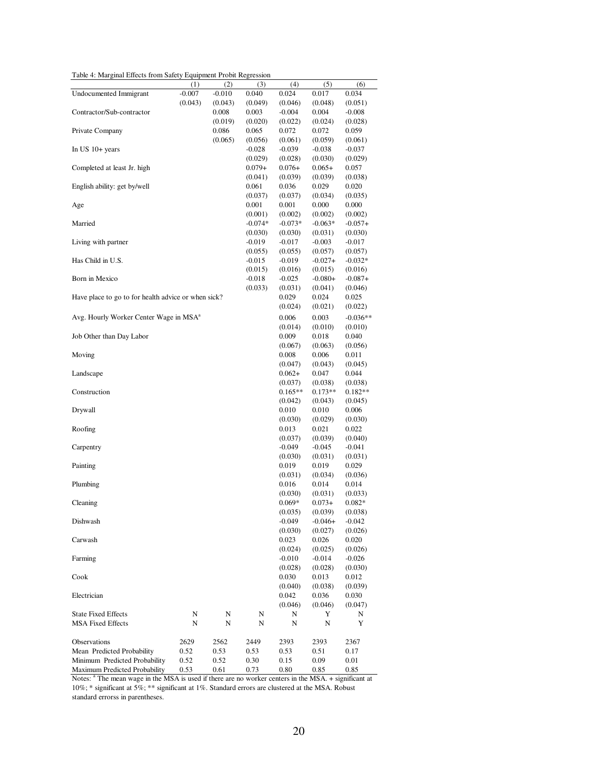Table 4: Marginal Effects from Safety Equipment Probit Regression

| Table 4: Marginal Effects from Safety Equipment Probit Regression                                                |          |          |           |           |           |            |
|------------------------------------------------------------------------------------------------------------------|----------|----------|-----------|-----------|-----------|------------|
|                                                                                                                  | (1)      | (2)      | (3)       | (4)       | (5)       | (6)        |
| <b>Undocumented Immigrant</b>                                                                                    | $-0.007$ | $-0.010$ | 0.040     | 0.024     | 0.017     | 0.034      |
|                                                                                                                  | (0.043)  | (0.043)  | (0.049)   | (0.046)   | (0.048)   | (0.051)    |
| Contractor/Sub-contractor                                                                                        |          | 0.008    | 0.003     | $-0.004$  | 0.004     | $-0.008$   |
|                                                                                                                  |          | (0.019)  | (0.020)   | (0.022)   | (0.024)   | (0.028)    |
| Private Company                                                                                                  |          | 0.086    | 0.065     | 0.072     | 0.072     | 0.059      |
|                                                                                                                  |          | (0.065)  | (0.056)   | (0.061)   | (0.059)   | (0.061)    |
| In US $10+$ years                                                                                                |          |          | $-0.028$  | $-0.039$  | $-0.038$  | $-0.037$   |
|                                                                                                                  |          |          | (0.029)   | (0.028)   | (0.030)   | (0.029)    |
| Completed at least Jr. high                                                                                      |          |          | $0.079+$  | $0.076+$  | $0.065+$  | 0.057      |
|                                                                                                                  |          |          | (0.041)   | (0.039)   | (0.039)   | (0.038)    |
| English ability: get by/well                                                                                     |          |          | 0.061     | 0.036     | 0.029     | 0.020      |
|                                                                                                                  |          |          | (0.037)   | (0.037)   | (0.034)   | (0.035)    |
| Age                                                                                                              |          |          | 0.001     | 0.001     | 0.000     | 0.000      |
|                                                                                                                  |          |          | (0.001)   | (0.002)   | (0.002)   | (0.002)    |
| Married                                                                                                          |          |          | $-0.074*$ | $-0.073*$ | $-0.063*$ | $-0.057+$  |
|                                                                                                                  |          |          |           |           |           |            |
|                                                                                                                  |          |          | (0.030)   | (0.030)   | (0.031)   | (0.030)    |
| Living with partner                                                                                              |          |          | $-0.019$  | $-0.017$  | $-0.003$  | $-0.017$   |
|                                                                                                                  |          |          | (0.055)   | (0.055)   | (0.057)   | (0.057)    |
| Has Child in U.S.                                                                                                |          |          | $-0.015$  | $-0.019$  | $-0.027+$ | $-0.032*$  |
|                                                                                                                  |          |          | (0.015)   | (0.016)   | (0.015)   | (0.016)    |
| Born in Mexico                                                                                                   |          |          | $-0.018$  | $-0.025$  | $-0.080+$ | $-0.087+$  |
|                                                                                                                  |          |          | (0.033)   | (0.031)   | (0.041)   | (0.046)    |
| Have place to go to for health advice or when sick?                                                              |          |          |           | 0.029     | 0.024     | 0.025      |
|                                                                                                                  |          |          |           | (0.024)   | (0.021)   | (0.022)    |
| Avg. Hourly Worker Center Wage in MSA <sup>a</sup>                                                               |          |          |           | 0.006     | 0.003     | $-0.036**$ |
|                                                                                                                  |          |          |           | (0.014)   | (0.010)   | (0.010)    |
| Job Other than Day Labor                                                                                         |          |          |           | 0.009     | 0.018     | 0.040      |
|                                                                                                                  |          |          |           | (0.067)   | (0.063)   | (0.056)    |
| Moving                                                                                                           |          |          |           | 0.008     | 0.006     | 0.011      |
|                                                                                                                  |          |          |           | (0.047)   | (0.043)   | (0.045)    |
|                                                                                                                  |          |          |           |           |           |            |
| Landscape                                                                                                        |          |          |           | $0.062+$  | 0.047     | 0.044      |
|                                                                                                                  |          |          |           | (0.037)   | (0.038)   | (0.038)    |
| Construction                                                                                                     |          |          |           | $0.165**$ | $0.173**$ | $0.182**$  |
|                                                                                                                  |          |          |           | (0.042)   | (0.043)   | (0.045)    |
| Drywall                                                                                                          |          |          |           | 0.010     | 0.010     | 0.006      |
|                                                                                                                  |          |          |           | (0.030)   | (0.029)   | (0.030)    |
| Roofing                                                                                                          |          |          |           | 0.013     | 0.021     | 0.022      |
|                                                                                                                  |          |          |           | (0.037)   | (0.039)   | (0.040)    |
| Carpentry                                                                                                        |          |          |           | $-0.049$  | $-0.045$  | $-0.041$   |
|                                                                                                                  |          |          |           | (0.030)   | (0.031)   | (0.031)    |
| Painting                                                                                                         |          |          |           | 0.019     | 0.019     | 0.029      |
|                                                                                                                  |          |          |           | (0.031)   | (0.034)   | (0.036)    |
| Plumbing                                                                                                         |          |          |           | 0.016     | 0.014     | 0.014      |
|                                                                                                                  |          |          |           | (0.030)   | (0.031)   | (0.033)    |
| Cleaning                                                                                                         |          |          |           | $0.069*$  | $0.073+$  | $0.082*$   |
|                                                                                                                  |          |          |           | (0.035)   | (0.039)   | (0.038)    |
| Dishwash                                                                                                         |          |          |           | $-0.049$  | $-0.046+$ | $-0.042$   |
|                                                                                                                  |          |          |           | (0.030)   | (0.027)   | (0.026)    |
| Carwash                                                                                                          |          |          |           | 0.023     | 0.026     | 0.020      |
|                                                                                                                  |          |          |           | (0.024)   | (0.025)   | (0.026)    |
| Farming                                                                                                          |          |          |           | $-0.010$  | $-0.014$  | $-0.026$   |
|                                                                                                                  |          |          |           | (0.028)   | (0.028)   | (0.030)    |
| Cook                                                                                                             |          |          |           | 0.030     | 0.013     | 0.012      |
|                                                                                                                  |          |          |           | (0.040)   | (0.038)   | (0.039)    |
| Electrician                                                                                                      |          |          |           | 0.042     | 0.036     | 0.030      |
|                                                                                                                  |          |          |           | (0.046)   | (0.046)   | (0.047)    |
|                                                                                                                  |          |          |           |           |           |            |
| <b>State Fixed Effects</b>                                                                                       | N        | N        | N         | N         | Y         | N          |
| <b>MSA Fixed Effects</b>                                                                                         | N        | N        | N         | N         | N         | Y          |
|                                                                                                                  |          |          |           |           |           |            |
| Observations                                                                                                     | 2629     | 2562     | 2449      | 2393      | 2393      | 2367       |
| Mean Predicted Probability                                                                                       | 0.52     | 0.53     | 0.53      | 0.53      | 0.51      | 0.17       |
| Minimum Predicted Probability                                                                                    | 0.52     | 0.52     | 0.30      | 0.15      | 0.09      | 0.01       |
| Maximum Predicted Probability                                                                                    | 0.53     | 0.61     | 0.73      | 0.80      | 0.85      | 0.85       |
| Notes: <sup>a</sup> The mean wage in the MSA is used if there are no worker centers in the MSA. + significant at |          |          |           |           |           |            |

10%; \* significant at 5%; \*\* significant at 1%. Standard errors are clustered at the MSA. Robust standard errorss in parentheses.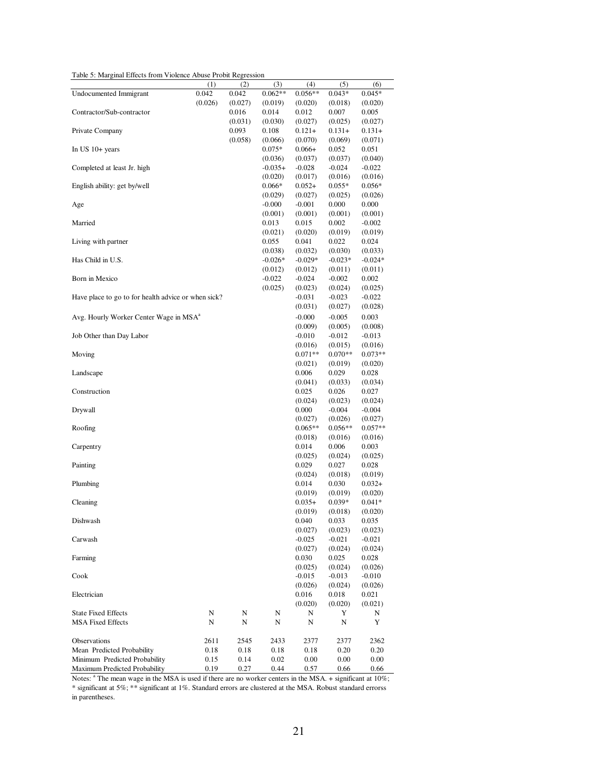Table 5: Marginal Effects from Violence Abuse Probit Regression

| Undocumented Immigrant<br>0.042<br>$0.062**$<br>$0.056**$<br>0.042<br>$0.043*$<br>$0.045*$<br>(0.026)<br>(0.027)<br>(0.019)<br>(0.020)<br>(0.018)<br>(0.020)<br>Contractor/Sub-contractor<br>0.012<br>0.007<br>0.016<br>0.014<br>0.005<br>(0.031)<br>(0.030)<br>(0.027)<br>(0.025)<br>(0.027)<br>Private Company<br>0.093<br>0.108<br>$0.121 +$<br>$0.131+$<br>$0.131+$<br>(0.058)<br>(0.070)<br>(0.069)<br>(0.066)<br>(0.071)<br>In US $10+$ years<br>$0.066+$<br>$0.075*$<br>0.052<br>0.051<br>(0.036)<br>(0.037)<br>(0.037)<br>(0.040)<br>Completed at least Jr. high<br>$-0.035+$<br>$-0.028$<br>$-0.024$<br>$-0.022$<br>(0.017)<br>(0.016)<br>(0.020)<br>(0.016)<br>English ability: get by/well<br>$0.066*$<br>$0.052+$<br>$0.055*$<br>$0.056*$<br>(0.029)<br>(0.027)<br>(0.025)<br>(0.026)<br>$-0.000$<br>$-0.001$<br>0.000<br>0.000<br>Age<br>(0.001)<br>(0.001)<br>(0.001)<br>(0.001)<br>Married<br>0.013<br>0.015<br>0.002<br>$-0.002$<br>(0.020)<br>(0.019)<br>(0.021)<br>(0.019)<br>Living with partner<br>0.055<br>0.041<br>0.022<br>0.024<br>(0.038)<br>(0.032)<br>(0.030)<br>(0.033)<br>Has Child in U.S.<br>$-0.026*$<br>$-0.029*$<br>$-0.023*$<br>$-0.024*$<br>(0.012)<br>(0.012)<br>(0.011)<br>(0.011)<br>Born in Mexico<br>$-0.022$<br>$-0.024$<br>$-0.002$<br>0.002<br>(0.025)<br>(0.023)<br>(0.024)<br>(0.025)<br>Have place to go to for health advice or when sick?<br>$-0.031$<br>$-0.023$<br>$-0.022$<br>(0.031)<br>(0.027)<br>(0.028)<br>Avg. Hourly Worker Center Wage in MSA <sup>a</sup><br>$-0.000$<br>$-0.005$<br>0.003<br>(0.009)<br>(0.005)<br>(0.008)<br>Job Other than Day Labor<br>$-0.010$<br>$-0.012$<br>$-0.013$<br>(0.016)<br>(0.015)<br>(0.016)<br>Moving<br>$0.071**$<br>$0.070**$<br>$0.073**$<br>(0.021)<br>(0.019)<br>(0.020)<br>Landscape<br>0.006<br>0.029<br>0.028<br>(0.041)<br>(0.033)<br>(0.034)<br>Construction<br>0.025<br>0.026<br>0.027<br>(0.024)<br>(0.023)<br>(0.024)<br>Drywall<br>0.000<br>$-0.004$<br>-0.004<br>(0.027)<br>(0.026)<br>(0.027)<br>Roofing<br>$0.065**$<br>$0.056**$<br>$0.057**$<br>(0.018)<br>(0.016)<br>(0.016)<br>Carpentry<br>0.014<br>0.006<br>0.003<br>(0.025)<br>(0.024)<br>(0.025)<br>Painting<br>0.029<br>0.027<br>0.028<br>(0.024)<br>(0.018)<br>(0.019)<br>Plumbing<br>0.014<br>0.030<br>$0.032+$<br>(0.019)<br>(0.019)<br>(0.020)<br>Cleaning<br>$0.035+$<br>$0.039*$<br>$0.041*$<br>(0.019)<br>(0.018)<br>(0.020)<br>Dishwash<br>0.040<br>0.033<br>0.035<br>(0.027)<br>(0.023)<br>(0.023)<br>Carwash<br>$-0.025$<br>$-0.021$<br>$-0.021$<br>(0.027)<br>(0.024)<br>(0.024)<br>Farming<br>0.030<br>0.025<br>0.028<br>(0.025)<br>(0.024)<br>(0.026)<br>Cook<br>$-0.015$<br>$-0.013$<br>-0.010<br>(0.026)<br>(0.024)<br>(0.026)<br>Electrician<br>0.016<br>0.018<br>0.021<br>(0.020)<br>(0.020)<br>(0.021)<br><b>State Fixed Effects</b><br>N<br>N<br>N<br>N<br>Y<br>N<br><b>MSA Fixed Effects</b><br>N<br>N<br>N<br>N<br>Y<br>N<br>Observations<br>2611<br>2362<br>2545<br>2433<br>2377<br>2377<br>Mean Predicted Probability<br>0.20<br>0.18<br>0.18<br>0.18<br>0.18<br>0.20<br>Minimum Predicted Probability<br>0.15<br>0.14<br>0.02<br>$0.00\,$<br>0.00<br>$0.00\,$ |                               | (1)  | (2)  | (3)  | (4)  | (5)  | (6)  |
|--------------------------------------------------------------------------------------------------------------------------------------------------------------------------------------------------------------------------------------------------------------------------------------------------------------------------------------------------------------------------------------------------------------------------------------------------------------------------------------------------------------------------------------------------------------------------------------------------------------------------------------------------------------------------------------------------------------------------------------------------------------------------------------------------------------------------------------------------------------------------------------------------------------------------------------------------------------------------------------------------------------------------------------------------------------------------------------------------------------------------------------------------------------------------------------------------------------------------------------------------------------------------------------------------------------------------------------------------------------------------------------------------------------------------------------------------------------------------------------------------------------------------------------------------------------------------------------------------------------------------------------------------------------------------------------------------------------------------------------------------------------------------------------------------------------------------------------------------------------------------------------------------------------------------------------------------------------------------------------------------------------------------------------------------------------------------------------------------------------------------------------------------------------------------------------------------------------------------------------------------------------------------------------------------------------------------------------------------------------------------------------------------------------------------------------------------------------------------------------------------------------------------------------------------------------------------------------------------------------------------------------------------------------------------------------------------------------------------------------------------------------------------------------------------------------------------------------------------------------------------------------------------------------------------------------------------------------------------------------------------------------------------------------------------------------------------------------------------------------------------------------------------------------|-------------------------------|------|------|------|------|------|------|
|                                                                                                                                                                                                                                                                                                                                                                                                                                                                                                                                                                                                                                                                                                                                                                                                                                                                                                                                                                                                                                                                                                                                                                                                                                                                                                                                                                                                                                                                                                                                                                                                                                                                                                                                                                                                                                                                                                                                                                                                                                                                                                                                                                                                                                                                                                                                                                                                                                                                                                                                                                                                                                                                                                                                                                                                                                                                                                                                                                                                                                                                                                                                                              |                               |      |      |      |      |      |      |
|                                                                                                                                                                                                                                                                                                                                                                                                                                                                                                                                                                                                                                                                                                                                                                                                                                                                                                                                                                                                                                                                                                                                                                                                                                                                                                                                                                                                                                                                                                                                                                                                                                                                                                                                                                                                                                                                                                                                                                                                                                                                                                                                                                                                                                                                                                                                                                                                                                                                                                                                                                                                                                                                                                                                                                                                                                                                                                                                                                                                                                                                                                                                                              |                               |      |      |      |      |      |      |
|                                                                                                                                                                                                                                                                                                                                                                                                                                                                                                                                                                                                                                                                                                                                                                                                                                                                                                                                                                                                                                                                                                                                                                                                                                                                                                                                                                                                                                                                                                                                                                                                                                                                                                                                                                                                                                                                                                                                                                                                                                                                                                                                                                                                                                                                                                                                                                                                                                                                                                                                                                                                                                                                                                                                                                                                                                                                                                                                                                                                                                                                                                                                                              |                               |      |      |      |      |      |      |
|                                                                                                                                                                                                                                                                                                                                                                                                                                                                                                                                                                                                                                                                                                                                                                                                                                                                                                                                                                                                                                                                                                                                                                                                                                                                                                                                                                                                                                                                                                                                                                                                                                                                                                                                                                                                                                                                                                                                                                                                                                                                                                                                                                                                                                                                                                                                                                                                                                                                                                                                                                                                                                                                                                                                                                                                                                                                                                                                                                                                                                                                                                                                                              |                               |      |      |      |      |      |      |
|                                                                                                                                                                                                                                                                                                                                                                                                                                                                                                                                                                                                                                                                                                                                                                                                                                                                                                                                                                                                                                                                                                                                                                                                                                                                                                                                                                                                                                                                                                                                                                                                                                                                                                                                                                                                                                                                                                                                                                                                                                                                                                                                                                                                                                                                                                                                                                                                                                                                                                                                                                                                                                                                                                                                                                                                                                                                                                                                                                                                                                                                                                                                                              |                               |      |      |      |      |      |      |
|                                                                                                                                                                                                                                                                                                                                                                                                                                                                                                                                                                                                                                                                                                                                                                                                                                                                                                                                                                                                                                                                                                                                                                                                                                                                                                                                                                                                                                                                                                                                                                                                                                                                                                                                                                                                                                                                                                                                                                                                                                                                                                                                                                                                                                                                                                                                                                                                                                                                                                                                                                                                                                                                                                                                                                                                                                                                                                                                                                                                                                                                                                                                                              |                               |      |      |      |      |      |      |
|                                                                                                                                                                                                                                                                                                                                                                                                                                                                                                                                                                                                                                                                                                                                                                                                                                                                                                                                                                                                                                                                                                                                                                                                                                                                                                                                                                                                                                                                                                                                                                                                                                                                                                                                                                                                                                                                                                                                                                                                                                                                                                                                                                                                                                                                                                                                                                                                                                                                                                                                                                                                                                                                                                                                                                                                                                                                                                                                                                                                                                                                                                                                                              |                               |      |      |      |      |      |      |
|                                                                                                                                                                                                                                                                                                                                                                                                                                                                                                                                                                                                                                                                                                                                                                                                                                                                                                                                                                                                                                                                                                                                                                                                                                                                                                                                                                                                                                                                                                                                                                                                                                                                                                                                                                                                                                                                                                                                                                                                                                                                                                                                                                                                                                                                                                                                                                                                                                                                                                                                                                                                                                                                                                                                                                                                                                                                                                                                                                                                                                                                                                                                                              |                               |      |      |      |      |      |      |
|                                                                                                                                                                                                                                                                                                                                                                                                                                                                                                                                                                                                                                                                                                                                                                                                                                                                                                                                                                                                                                                                                                                                                                                                                                                                                                                                                                                                                                                                                                                                                                                                                                                                                                                                                                                                                                                                                                                                                                                                                                                                                                                                                                                                                                                                                                                                                                                                                                                                                                                                                                                                                                                                                                                                                                                                                                                                                                                                                                                                                                                                                                                                                              |                               |      |      |      |      |      |      |
|                                                                                                                                                                                                                                                                                                                                                                                                                                                                                                                                                                                                                                                                                                                                                                                                                                                                                                                                                                                                                                                                                                                                                                                                                                                                                                                                                                                                                                                                                                                                                                                                                                                                                                                                                                                                                                                                                                                                                                                                                                                                                                                                                                                                                                                                                                                                                                                                                                                                                                                                                                                                                                                                                                                                                                                                                                                                                                                                                                                                                                                                                                                                                              |                               |      |      |      |      |      |      |
|                                                                                                                                                                                                                                                                                                                                                                                                                                                                                                                                                                                                                                                                                                                                                                                                                                                                                                                                                                                                                                                                                                                                                                                                                                                                                                                                                                                                                                                                                                                                                                                                                                                                                                                                                                                                                                                                                                                                                                                                                                                                                                                                                                                                                                                                                                                                                                                                                                                                                                                                                                                                                                                                                                                                                                                                                                                                                                                                                                                                                                                                                                                                                              |                               |      |      |      |      |      |      |
|                                                                                                                                                                                                                                                                                                                                                                                                                                                                                                                                                                                                                                                                                                                                                                                                                                                                                                                                                                                                                                                                                                                                                                                                                                                                                                                                                                                                                                                                                                                                                                                                                                                                                                                                                                                                                                                                                                                                                                                                                                                                                                                                                                                                                                                                                                                                                                                                                                                                                                                                                                                                                                                                                                                                                                                                                                                                                                                                                                                                                                                                                                                                                              |                               |      |      |      |      |      |      |
|                                                                                                                                                                                                                                                                                                                                                                                                                                                                                                                                                                                                                                                                                                                                                                                                                                                                                                                                                                                                                                                                                                                                                                                                                                                                                                                                                                                                                                                                                                                                                                                                                                                                                                                                                                                                                                                                                                                                                                                                                                                                                                                                                                                                                                                                                                                                                                                                                                                                                                                                                                                                                                                                                                                                                                                                                                                                                                                                                                                                                                                                                                                                                              |                               |      |      |      |      |      |      |
|                                                                                                                                                                                                                                                                                                                                                                                                                                                                                                                                                                                                                                                                                                                                                                                                                                                                                                                                                                                                                                                                                                                                                                                                                                                                                                                                                                                                                                                                                                                                                                                                                                                                                                                                                                                                                                                                                                                                                                                                                                                                                                                                                                                                                                                                                                                                                                                                                                                                                                                                                                                                                                                                                                                                                                                                                                                                                                                                                                                                                                                                                                                                                              |                               |      |      |      |      |      |      |
|                                                                                                                                                                                                                                                                                                                                                                                                                                                                                                                                                                                                                                                                                                                                                                                                                                                                                                                                                                                                                                                                                                                                                                                                                                                                                                                                                                                                                                                                                                                                                                                                                                                                                                                                                                                                                                                                                                                                                                                                                                                                                                                                                                                                                                                                                                                                                                                                                                                                                                                                                                                                                                                                                                                                                                                                                                                                                                                                                                                                                                                                                                                                                              |                               |      |      |      |      |      |      |
|                                                                                                                                                                                                                                                                                                                                                                                                                                                                                                                                                                                                                                                                                                                                                                                                                                                                                                                                                                                                                                                                                                                                                                                                                                                                                                                                                                                                                                                                                                                                                                                                                                                                                                                                                                                                                                                                                                                                                                                                                                                                                                                                                                                                                                                                                                                                                                                                                                                                                                                                                                                                                                                                                                                                                                                                                                                                                                                                                                                                                                                                                                                                                              |                               |      |      |      |      |      |      |
|                                                                                                                                                                                                                                                                                                                                                                                                                                                                                                                                                                                                                                                                                                                                                                                                                                                                                                                                                                                                                                                                                                                                                                                                                                                                                                                                                                                                                                                                                                                                                                                                                                                                                                                                                                                                                                                                                                                                                                                                                                                                                                                                                                                                                                                                                                                                                                                                                                                                                                                                                                                                                                                                                                                                                                                                                                                                                                                                                                                                                                                                                                                                                              |                               |      |      |      |      |      |      |
|                                                                                                                                                                                                                                                                                                                                                                                                                                                                                                                                                                                                                                                                                                                                                                                                                                                                                                                                                                                                                                                                                                                                                                                                                                                                                                                                                                                                                                                                                                                                                                                                                                                                                                                                                                                                                                                                                                                                                                                                                                                                                                                                                                                                                                                                                                                                                                                                                                                                                                                                                                                                                                                                                                                                                                                                                                                                                                                                                                                                                                                                                                                                                              |                               |      |      |      |      |      |      |
|                                                                                                                                                                                                                                                                                                                                                                                                                                                                                                                                                                                                                                                                                                                                                                                                                                                                                                                                                                                                                                                                                                                                                                                                                                                                                                                                                                                                                                                                                                                                                                                                                                                                                                                                                                                                                                                                                                                                                                                                                                                                                                                                                                                                                                                                                                                                                                                                                                                                                                                                                                                                                                                                                                                                                                                                                                                                                                                                                                                                                                                                                                                                                              |                               |      |      |      |      |      |      |
|                                                                                                                                                                                                                                                                                                                                                                                                                                                                                                                                                                                                                                                                                                                                                                                                                                                                                                                                                                                                                                                                                                                                                                                                                                                                                                                                                                                                                                                                                                                                                                                                                                                                                                                                                                                                                                                                                                                                                                                                                                                                                                                                                                                                                                                                                                                                                                                                                                                                                                                                                                                                                                                                                                                                                                                                                                                                                                                                                                                                                                                                                                                                                              |                               |      |      |      |      |      |      |
|                                                                                                                                                                                                                                                                                                                                                                                                                                                                                                                                                                                                                                                                                                                                                                                                                                                                                                                                                                                                                                                                                                                                                                                                                                                                                                                                                                                                                                                                                                                                                                                                                                                                                                                                                                                                                                                                                                                                                                                                                                                                                                                                                                                                                                                                                                                                                                                                                                                                                                                                                                                                                                                                                                                                                                                                                                                                                                                                                                                                                                                                                                                                                              |                               |      |      |      |      |      |      |
|                                                                                                                                                                                                                                                                                                                                                                                                                                                                                                                                                                                                                                                                                                                                                                                                                                                                                                                                                                                                                                                                                                                                                                                                                                                                                                                                                                                                                                                                                                                                                                                                                                                                                                                                                                                                                                                                                                                                                                                                                                                                                                                                                                                                                                                                                                                                                                                                                                                                                                                                                                                                                                                                                                                                                                                                                                                                                                                                                                                                                                                                                                                                                              |                               |      |      |      |      |      |      |
|                                                                                                                                                                                                                                                                                                                                                                                                                                                                                                                                                                                                                                                                                                                                                                                                                                                                                                                                                                                                                                                                                                                                                                                                                                                                                                                                                                                                                                                                                                                                                                                                                                                                                                                                                                                                                                                                                                                                                                                                                                                                                                                                                                                                                                                                                                                                                                                                                                                                                                                                                                                                                                                                                                                                                                                                                                                                                                                                                                                                                                                                                                                                                              |                               |      |      |      |      |      |      |
|                                                                                                                                                                                                                                                                                                                                                                                                                                                                                                                                                                                                                                                                                                                                                                                                                                                                                                                                                                                                                                                                                                                                                                                                                                                                                                                                                                                                                                                                                                                                                                                                                                                                                                                                                                                                                                                                                                                                                                                                                                                                                                                                                                                                                                                                                                                                                                                                                                                                                                                                                                                                                                                                                                                                                                                                                                                                                                                                                                                                                                                                                                                                                              |                               |      |      |      |      |      |      |
|                                                                                                                                                                                                                                                                                                                                                                                                                                                                                                                                                                                                                                                                                                                                                                                                                                                                                                                                                                                                                                                                                                                                                                                                                                                                                                                                                                                                                                                                                                                                                                                                                                                                                                                                                                                                                                                                                                                                                                                                                                                                                                                                                                                                                                                                                                                                                                                                                                                                                                                                                                                                                                                                                                                                                                                                                                                                                                                                                                                                                                                                                                                                                              |                               |      |      |      |      |      |      |
|                                                                                                                                                                                                                                                                                                                                                                                                                                                                                                                                                                                                                                                                                                                                                                                                                                                                                                                                                                                                                                                                                                                                                                                                                                                                                                                                                                                                                                                                                                                                                                                                                                                                                                                                                                                                                                                                                                                                                                                                                                                                                                                                                                                                                                                                                                                                                                                                                                                                                                                                                                                                                                                                                                                                                                                                                                                                                                                                                                                                                                                                                                                                                              |                               |      |      |      |      |      |      |
|                                                                                                                                                                                                                                                                                                                                                                                                                                                                                                                                                                                                                                                                                                                                                                                                                                                                                                                                                                                                                                                                                                                                                                                                                                                                                                                                                                                                                                                                                                                                                                                                                                                                                                                                                                                                                                                                                                                                                                                                                                                                                                                                                                                                                                                                                                                                                                                                                                                                                                                                                                                                                                                                                                                                                                                                                                                                                                                                                                                                                                                                                                                                                              |                               |      |      |      |      |      |      |
|                                                                                                                                                                                                                                                                                                                                                                                                                                                                                                                                                                                                                                                                                                                                                                                                                                                                                                                                                                                                                                                                                                                                                                                                                                                                                                                                                                                                                                                                                                                                                                                                                                                                                                                                                                                                                                                                                                                                                                                                                                                                                                                                                                                                                                                                                                                                                                                                                                                                                                                                                                                                                                                                                                                                                                                                                                                                                                                                                                                                                                                                                                                                                              |                               |      |      |      |      |      |      |
|                                                                                                                                                                                                                                                                                                                                                                                                                                                                                                                                                                                                                                                                                                                                                                                                                                                                                                                                                                                                                                                                                                                                                                                                                                                                                                                                                                                                                                                                                                                                                                                                                                                                                                                                                                                                                                                                                                                                                                                                                                                                                                                                                                                                                                                                                                                                                                                                                                                                                                                                                                                                                                                                                                                                                                                                                                                                                                                                                                                                                                                                                                                                                              |                               |      |      |      |      |      |      |
|                                                                                                                                                                                                                                                                                                                                                                                                                                                                                                                                                                                                                                                                                                                                                                                                                                                                                                                                                                                                                                                                                                                                                                                                                                                                                                                                                                                                                                                                                                                                                                                                                                                                                                                                                                                                                                                                                                                                                                                                                                                                                                                                                                                                                                                                                                                                                                                                                                                                                                                                                                                                                                                                                                                                                                                                                                                                                                                                                                                                                                                                                                                                                              |                               |      |      |      |      |      |      |
|                                                                                                                                                                                                                                                                                                                                                                                                                                                                                                                                                                                                                                                                                                                                                                                                                                                                                                                                                                                                                                                                                                                                                                                                                                                                                                                                                                                                                                                                                                                                                                                                                                                                                                                                                                                                                                                                                                                                                                                                                                                                                                                                                                                                                                                                                                                                                                                                                                                                                                                                                                                                                                                                                                                                                                                                                                                                                                                                                                                                                                                                                                                                                              |                               |      |      |      |      |      |      |
|                                                                                                                                                                                                                                                                                                                                                                                                                                                                                                                                                                                                                                                                                                                                                                                                                                                                                                                                                                                                                                                                                                                                                                                                                                                                                                                                                                                                                                                                                                                                                                                                                                                                                                                                                                                                                                                                                                                                                                                                                                                                                                                                                                                                                                                                                                                                                                                                                                                                                                                                                                                                                                                                                                                                                                                                                                                                                                                                                                                                                                                                                                                                                              |                               |      |      |      |      |      |      |
|                                                                                                                                                                                                                                                                                                                                                                                                                                                                                                                                                                                                                                                                                                                                                                                                                                                                                                                                                                                                                                                                                                                                                                                                                                                                                                                                                                                                                                                                                                                                                                                                                                                                                                                                                                                                                                                                                                                                                                                                                                                                                                                                                                                                                                                                                                                                                                                                                                                                                                                                                                                                                                                                                                                                                                                                                                                                                                                                                                                                                                                                                                                                                              |                               |      |      |      |      |      |      |
|                                                                                                                                                                                                                                                                                                                                                                                                                                                                                                                                                                                                                                                                                                                                                                                                                                                                                                                                                                                                                                                                                                                                                                                                                                                                                                                                                                                                                                                                                                                                                                                                                                                                                                                                                                                                                                                                                                                                                                                                                                                                                                                                                                                                                                                                                                                                                                                                                                                                                                                                                                                                                                                                                                                                                                                                                                                                                                                                                                                                                                                                                                                                                              |                               |      |      |      |      |      |      |
|                                                                                                                                                                                                                                                                                                                                                                                                                                                                                                                                                                                                                                                                                                                                                                                                                                                                                                                                                                                                                                                                                                                                                                                                                                                                                                                                                                                                                                                                                                                                                                                                                                                                                                                                                                                                                                                                                                                                                                                                                                                                                                                                                                                                                                                                                                                                                                                                                                                                                                                                                                                                                                                                                                                                                                                                                                                                                                                                                                                                                                                                                                                                                              |                               |      |      |      |      |      |      |
|                                                                                                                                                                                                                                                                                                                                                                                                                                                                                                                                                                                                                                                                                                                                                                                                                                                                                                                                                                                                                                                                                                                                                                                                                                                                                                                                                                                                                                                                                                                                                                                                                                                                                                                                                                                                                                                                                                                                                                                                                                                                                                                                                                                                                                                                                                                                                                                                                                                                                                                                                                                                                                                                                                                                                                                                                                                                                                                                                                                                                                                                                                                                                              |                               |      |      |      |      |      |      |
|                                                                                                                                                                                                                                                                                                                                                                                                                                                                                                                                                                                                                                                                                                                                                                                                                                                                                                                                                                                                                                                                                                                                                                                                                                                                                                                                                                                                                                                                                                                                                                                                                                                                                                                                                                                                                                                                                                                                                                                                                                                                                                                                                                                                                                                                                                                                                                                                                                                                                                                                                                                                                                                                                                                                                                                                                                                                                                                                                                                                                                                                                                                                                              |                               |      |      |      |      |      |      |
|                                                                                                                                                                                                                                                                                                                                                                                                                                                                                                                                                                                                                                                                                                                                                                                                                                                                                                                                                                                                                                                                                                                                                                                                                                                                                                                                                                                                                                                                                                                                                                                                                                                                                                                                                                                                                                                                                                                                                                                                                                                                                                                                                                                                                                                                                                                                                                                                                                                                                                                                                                                                                                                                                                                                                                                                                                                                                                                                                                                                                                                                                                                                                              |                               |      |      |      |      |      |      |
|                                                                                                                                                                                                                                                                                                                                                                                                                                                                                                                                                                                                                                                                                                                                                                                                                                                                                                                                                                                                                                                                                                                                                                                                                                                                                                                                                                                                                                                                                                                                                                                                                                                                                                                                                                                                                                                                                                                                                                                                                                                                                                                                                                                                                                                                                                                                                                                                                                                                                                                                                                                                                                                                                                                                                                                                                                                                                                                                                                                                                                                                                                                                                              |                               |      |      |      |      |      |      |
|                                                                                                                                                                                                                                                                                                                                                                                                                                                                                                                                                                                                                                                                                                                                                                                                                                                                                                                                                                                                                                                                                                                                                                                                                                                                                                                                                                                                                                                                                                                                                                                                                                                                                                                                                                                                                                                                                                                                                                                                                                                                                                                                                                                                                                                                                                                                                                                                                                                                                                                                                                                                                                                                                                                                                                                                                                                                                                                                                                                                                                                                                                                                                              |                               |      |      |      |      |      |      |
|                                                                                                                                                                                                                                                                                                                                                                                                                                                                                                                                                                                                                                                                                                                                                                                                                                                                                                                                                                                                                                                                                                                                                                                                                                                                                                                                                                                                                                                                                                                                                                                                                                                                                                                                                                                                                                                                                                                                                                                                                                                                                                                                                                                                                                                                                                                                                                                                                                                                                                                                                                                                                                                                                                                                                                                                                                                                                                                                                                                                                                                                                                                                                              |                               |      |      |      |      |      |      |
|                                                                                                                                                                                                                                                                                                                                                                                                                                                                                                                                                                                                                                                                                                                                                                                                                                                                                                                                                                                                                                                                                                                                                                                                                                                                                                                                                                                                                                                                                                                                                                                                                                                                                                                                                                                                                                                                                                                                                                                                                                                                                                                                                                                                                                                                                                                                                                                                                                                                                                                                                                                                                                                                                                                                                                                                                                                                                                                                                                                                                                                                                                                                                              |                               |      |      |      |      |      |      |
|                                                                                                                                                                                                                                                                                                                                                                                                                                                                                                                                                                                                                                                                                                                                                                                                                                                                                                                                                                                                                                                                                                                                                                                                                                                                                                                                                                                                                                                                                                                                                                                                                                                                                                                                                                                                                                                                                                                                                                                                                                                                                                                                                                                                                                                                                                                                                                                                                                                                                                                                                                                                                                                                                                                                                                                                                                                                                                                                                                                                                                                                                                                                                              |                               |      |      |      |      |      |      |
|                                                                                                                                                                                                                                                                                                                                                                                                                                                                                                                                                                                                                                                                                                                                                                                                                                                                                                                                                                                                                                                                                                                                                                                                                                                                                                                                                                                                                                                                                                                                                                                                                                                                                                                                                                                                                                                                                                                                                                                                                                                                                                                                                                                                                                                                                                                                                                                                                                                                                                                                                                                                                                                                                                                                                                                                                                                                                                                                                                                                                                                                                                                                                              |                               |      |      |      |      |      |      |
|                                                                                                                                                                                                                                                                                                                                                                                                                                                                                                                                                                                                                                                                                                                                                                                                                                                                                                                                                                                                                                                                                                                                                                                                                                                                                                                                                                                                                                                                                                                                                                                                                                                                                                                                                                                                                                                                                                                                                                                                                                                                                                                                                                                                                                                                                                                                                                                                                                                                                                                                                                                                                                                                                                                                                                                                                                                                                                                                                                                                                                                                                                                                                              |                               |      |      |      |      |      |      |
|                                                                                                                                                                                                                                                                                                                                                                                                                                                                                                                                                                                                                                                                                                                                                                                                                                                                                                                                                                                                                                                                                                                                                                                                                                                                                                                                                                                                                                                                                                                                                                                                                                                                                                                                                                                                                                                                                                                                                                                                                                                                                                                                                                                                                                                                                                                                                                                                                                                                                                                                                                                                                                                                                                                                                                                                                                                                                                                                                                                                                                                                                                                                                              |                               |      |      |      |      |      |      |
|                                                                                                                                                                                                                                                                                                                                                                                                                                                                                                                                                                                                                                                                                                                                                                                                                                                                                                                                                                                                                                                                                                                                                                                                                                                                                                                                                                                                                                                                                                                                                                                                                                                                                                                                                                                                                                                                                                                                                                                                                                                                                                                                                                                                                                                                                                                                                                                                                                                                                                                                                                                                                                                                                                                                                                                                                                                                                                                                                                                                                                                                                                                                                              |                               |      |      |      |      |      |      |
|                                                                                                                                                                                                                                                                                                                                                                                                                                                                                                                                                                                                                                                                                                                                                                                                                                                                                                                                                                                                                                                                                                                                                                                                                                                                                                                                                                                                                                                                                                                                                                                                                                                                                                                                                                                                                                                                                                                                                                                                                                                                                                                                                                                                                                                                                                                                                                                                                                                                                                                                                                                                                                                                                                                                                                                                                                                                                                                                                                                                                                                                                                                                                              |                               |      |      |      |      |      |      |
|                                                                                                                                                                                                                                                                                                                                                                                                                                                                                                                                                                                                                                                                                                                                                                                                                                                                                                                                                                                                                                                                                                                                                                                                                                                                                                                                                                                                                                                                                                                                                                                                                                                                                                                                                                                                                                                                                                                                                                                                                                                                                                                                                                                                                                                                                                                                                                                                                                                                                                                                                                                                                                                                                                                                                                                                                                                                                                                                                                                                                                                                                                                                                              |                               |      |      |      |      |      |      |
|                                                                                                                                                                                                                                                                                                                                                                                                                                                                                                                                                                                                                                                                                                                                                                                                                                                                                                                                                                                                                                                                                                                                                                                                                                                                                                                                                                                                                                                                                                                                                                                                                                                                                                                                                                                                                                                                                                                                                                                                                                                                                                                                                                                                                                                                                                                                                                                                                                                                                                                                                                                                                                                                                                                                                                                                                                                                                                                                                                                                                                                                                                                                                              |                               |      |      |      |      |      |      |
|                                                                                                                                                                                                                                                                                                                                                                                                                                                                                                                                                                                                                                                                                                                                                                                                                                                                                                                                                                                                                                                                                                                                                                                                                                                                                                                                                                                                                                                                                                                                                                                                                                                                                                                                                                                                                                                                                                                                                                                                                                                                                                                                                                                                                                                                                                                                                                                                                                                                                                                                                                                                                                                                                                                                                                                                                                                                                                                                                                                                                                                                                                                                                              |                               |      |      |      |      |      |      |
|                                                                                                                                                                                                                                                                                                                                                                                                                                                                                                                                                                                                                                                                                                                                                                                                                                                                                                                                                                                                                                                                                                                                                                                                                                                                                                                                                                                                                                                                                                                                                                                                                                                                                                                                                                                                                                                                                                                                                                                                                                                                                                                                                                                                                                                                                                                                                                                                                                                                                                                                                                                                                                                                                                                                                                                                                                                                                                                                                                                                                                                                                                                                                              |                               |      |      |      |      |      |      |
|                                                                                                                                                                                                                                                                                                                                                                                                                                                                                                                                                                                                                                                                                                                                                                                                                                                                                                                                                                                                                                                                                                                                                                                                                                                                                                                                                                                                                                                                                                                                                                                                                                                                                                                                                                                                                                                                                                                                                                                                                                                                                                                                                                                                                                                                                                                                                                                                                                                                                                                                                                                                                                                                                                                                                                                                                                                                                                                                                                                                                                                                                                                                                              |                               |      |      |      |      |      |      |
|                                                                                                                                                                                                                                                                                                                                                                                                                                                                                                                                                                                                                                                                                                                                                                                                                                                                                                                                                                                                                                                                                                                                                                                                                                                                                                                                                                                                                                                                                                                                                                                                                                                                                                                                                                                                                                                                                                                                                                                                                                                                                                                                                                                                                                                                                                                                                                                                                                                                                                                                                                                                                                                                                                                                                                                                                                                                                                                                                                                                                                                                                                                                                              |                               |      |      |      |      |      |      |
|                                                                                                                                                                                                                                                                                                                                                                                                                                                                                                                                                                                                                                                                                                                                                                                                                                                                                                                                                                                                                                                                                                                                                                                                                                                                                                                                                                                                                                                                                                                                                                                                                                                                                                                                                                                                                                                                                                                                                                                                                                                                                                                                                                                                                                                                                                                                                                                                                                                                                                                                                                                                                                                                                                                                                                                                                                                                                                                                                                                                                                                                                                                                                              |                               |      |      |      |      |      |      |
|                                                                                                                                                                                                                                                                                                                                                                                                                                                                                                                                                                                                                                                                                                                                                                                                                                                                                                                                                                                                                                                                                                                                                                                                                                                                                                                                                                                                                                                                                                                                                                                                                                                                                                                                                                                                                                                                                                                                                                                                                                                                                                                                                                                                                                                                                                                                                                                                                                                                                                                                                                                                                                                                                                                                                                                                                                                                                                                                                                                                                                                                                                                                                              |                               |      |      |      |      |      |      |
|                                                                                                                                                                                                                                                                                                                                                                                                                                                                                                                                                                                                                                                                                                                                                                                                                                                                                                                                                                                                                                                                                                                                                                                                                                                                                                                                                                                                                                                                                                                                                                                                                                                                                                                                                                                                                                                                                                                                                                                                                                                                                                                                                                                                                                                                                                                                                                                                                                                                                                                                                                                                                                                                                                                                                                                                                                                                                                                                                                                                                                                                                                                                                              |                               |      |      |      |      |      |      |
|                                                                                                                                                                                                                                                                                                                                                                                                                                                                                                                                                                                                                                                                                                                                                                                                                                                                                                                                                                                                                                                                                                                                                                                                                                                                                                                                                                                                                                                                                                                                                                                                                                                                                                                                                                                                                                                                                                                                                                                                                                                                                                                                                                                                                                                                                                                                                                                                                                                                                                                                                                                                                                                                                                                                                                                                                                                                                                                                                                                                                                                                                                                                                              |                               |      |      |      |      |      |      |
|                                                                                                                                                                                                                                                                                                                                                                                                                                                                                                                                                                                                                                                                                                                                                                                                                                                                                                                                                                                                                                                                                                                                                                                                                                                                                                                                                                                                                                                                                                                                                                                                                                                                                                                                                                                                                                                                                                                                                                                                                                                                                                                                                                                                                                                                                                                                                                                                                                                                                                                                                                                                                                                                                                                                                                                                                                                                                                                                                                                                                                                                                                                                                              |                               |      |      |      |      |      |      |
|                                                                                                                                                                                                                                                                                                                                                                                                                                                                                                                                                                                                                                                                                                                                                                                                                                                                                                                                                                                                                                                                                                                                                                                                                                                                                                                                                                                                                                                                                                                                                                                                                                                                                                                                                                                                                                                                                                                                                                                                                                                                                                                                                                                                                                                                                                                                                                                                                                                                                                                                                                                                                                                                                                                                                                                                                                                                                                                                                                                                                                                                                                                                                              |                               |      |      |      |      |      |      |
|                                                                                                                                                                                                                                                                                                                                                                                                                                                                                                                                                                                                                                                                                                                                                                                                                                                                                                                                                                                                                                                                                                                                                                                                                                                                                                                                                                                                                                                                                                                                                                                                                                                                                                                                                                                                                                                                                                                                                                                                                                                                                                                                                                                                                                                                                                                                                                                                                                                                                                                                                                                                                                                                                                                                                                                                                                                                                                                                                                                                                                                                                                                                                              | Maximum Predicted Probability | 0.19 | 0.27 | 0.44 | 0.57 | 0.66 | 0.66 |

Notes: <sup>a</sup> The mean wage in the MSA is used if there are no worker centers in the MSA. + significant at 10%; \* significant at 5%; \*\* significant at 1%. Standard errors are clustered at the MSA. Robust standard errorss in parentheses.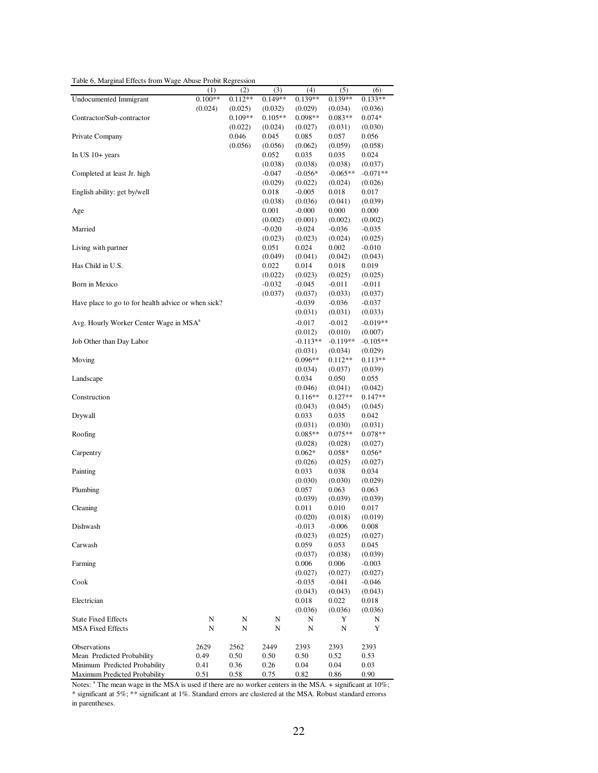Table 6, Marginal Effects from Wage Abuse Probit Regression

| Table 6, Marginal Effects from Wage Abuse Probit Regression |                      |           |           |            |            |            |
|-------------------------------------------------------------|----------------------|-----------|-----------|------------|------------|------------|
|                                                             | (1)                  | (2)       | (3)       | (4)        | (5)        | (6)        |
| <b>Undocumented Immigrant</b>                               | $0.\overline{100**}$ | $0.112**$ | $0.149**$ | $0.139**$  | 0.139**    | $0.133**$  |
|                                                             | (0.024)              | (0.025)   | (0.032)   | (0.029)    | (0.034)    | (0.036)    |
| Contractor/Sub-contractor                                   |                      | $0.109**$ | $0.105**$ | 0.098**    | $0.083**$  | $0.074*$   |
|                                                             |                      | (0.022)   | (0.024)   | (0.027)    | (0.031)    | (0.030)    |
| Private Company                                             |                      | 0.046     | 0.045     | 0.085      | 0.057      | 0.056      |
|                                                             |                      |           |           |            |            |            |
|                                                             |                      | (0.056)   | (0.056)   | (0.062)    | (0.059)    | (0.058)    |
| In US $10+$ years                                           |                      |           | 0.052     | 0.035      | 0.035      | 0.024      |
|                                                             |                      |           | (0.038)   | (0.038)    | (0.038)    | (0.037)    |
| Completed at least Jr. high                                 |                      |           | $-0.047$  | $-0.056*$  | $-0.065**$ | $-0.071**$ |
|                                                             |                      |           | (0.029)   | (0.022)    | (0.024)    | (0.026)    |
| English ability: get by/well                                |                      |           | 0.018     | $-0.005$   | 0.018      | 0.017      |
|                                                             |                      |           | (0.038)   | (0.036)    | (0.041)    | (0.039)    |
| Age                                                         |                      |           | 0.001     | $-0.000$   | 0.000      | 0.000      |
|                                                             |                      |           | (0.002)   | (0.001)    | (0.002)    | (0.002)    |
| Married                                                     |                      |           | $-0.020$  | $-0.024$   | $-0.036$   | $-0.035$   |
|                                                             |                      |           | (0.023)   | (0.023)    | (0.024)    | (0.025)    |
|                                                             |                      |           |           |            |            |            |
| Living with partner                                         |                      |           | 0.051     | 0.024      | 0.002      | $-0.010$   |
|                                                             |                      |           | (0.049)   | (0.041)    | (0.042)    | (0.043)    |
| Has Child in U.S.                                           |                      |           | 0.022     | 0.014      | 0.018      | 0.019      |
|                                                             |                      |           | (0.022)   | (0.023)    | (0.025)    | (0.025)    |
| Born in Mexico                                              |                      |           | -0.032    | $-0.045$   | $-0.011$   | $-0.011$   |
|                                                             |                      |           | (0.037)   | (0.037)    | (0.033)    | (0.037)    |
| Have place to go to for health advice or when sick?         |                      |           |           | $-0.039$   | $-0.036$   | -0.037     |
|                                                             |                      |           |           | (0.031)    | (0.031)    | (0.033)    |
|                                                             |                      |           |           |            |            |            |
| Avg. Hourly Worker Center Wage in MSA <sup>a</sup>          |                      |           |           | $-0.017$   | $-0.012$   | $-0.019**$ |
|                                                             |                      |           |           | (0.012)    | (0.010)    | (0.007)    |
| Job Other than Day Labor                                    |                      |           |           | $-0.113**$ | $-0.119**$ | $-0.105**$ |
|                                                             |                      |           |           | (0.031)    | (0.034)    | (0.029)    |
| Moving                                                      |                      |           |           | $0.096**$  | $0.112**$  | $0.113**$  |
|                                                             |                      |           |           | (0.034)    | (0.037)    | (0.039)    |
| Landscape                                                   |                      |           |           | 0.034      | 0.050      | 0.055      |
|                                                             |                      |           |           | (0.046)    | (0.041)    | (0.042)    |
| Construction                                                |                      |           |           | $0.116**$  | $0.127**$  | $0.147**$  |
|                                                             |                      |           |           | (0.043)    | (0.045)    | (0.045)    |
|                                                             |                      |           |           |            |            |            |
| Drywall                                                     |                      |           |           | 0.033      | 0.035      | 0.042      |
|                                                             |                      |           |           | (0.031)    | (0.030)    | (0.031)    |
| Roofing                                                     |                      |           |           | $0.085**$  | $0.075**$  | $0.078**$  |
|                                                             |                      |           |           | (0.028)    | (0.028)    | (0.027)    |
| Carpentry                                                   |                      |           |           | $0.062*$   | $0.058*$   | $0.056*$   |
|                                                             |                      |           |           | (0.026)    | (0.025)    | (0.027)    |
| Painting                                                    |                      |           |           | 0.033      | 0.038      | 0.034      |
|                                                             |                      |           |           | (0.030)    | (0.030)    | (0.029)    |
| Plumbing                                                    |                      |           |           | 0.057      | 0.063      | 0.063      |
|                                                             |                      |           |           | (0.039)    | (0.039)    | (0.039)    |
|                                                             |                      |           |           | 0.011      | 0.010      | 0.017      |
| Cleaning                                                    |                      |           |           |            |            |            |
|                                                             |                      |           |           | (0.020)    | (0.018)    | (0.019)    |
| Dishwash                                                    |                      |           |           | $-0.013$   | $-0.006$   | 0.008      |
|                                                             |                      |           |           | (0.023)    | (0.025)    | (0.027)    |
| Carwash                                                     |                      |           |           | 0.059      | 0.053      | 0.045      |
|                                                             |                      |           |           | (0.037)    | (0.038)    | (0.039)    |
| Farming                                                     |                      |           |           | 0.006      | 0.006      | $-0.003$   |
|                                                             |                      |           |           | (0.027)    | (0.027)    | (0.027)    |
| Cook                                                        |                      |           |           | $-0.035$   | $-0.041$   | $-0.046$   |
|                                                             |                      |           |           | (0.043)    | (0.043)    | (0.043)    |
|                                                             |                      |           |           |            |            |            |
| Electrician                                                 |                      |           |           | 0.018      | 0.022      | 0.018      |
|                                                             |                      |           |           | (0.036)    | (0.036)    | (0.036)    |
| <b>State Fixed Effects</b>                                  | N                    | N         | N         | N          | Y          | N          |
| <b>MSA Fixed Effects</b>                                    | N                    | N         | N         | N          | N          | Y          |
|                                                             |                      |           |           |            |            |            |
| Observations                                                | 2629                 | 2562      | 2449      | 2393       | 2393       | 2393       |
| Mean Predicted Probability                                  | 0.49                 | 0.50      | 0.50      | 0.50       | 0.52       | 0.53       |
| Minimum Predicted Probability                               | 0.41                 | 0.36      | 0.26      | 0.04       | 0.04       | 0.03       |
| Maximum Predicted Probability                               | 0.51                 | 0.58      | 0.75      | 0.82       | 0.86       | 0.90       |

Notes: <sup>a</sup> The mean wage in the MSA is used if there are no worker centers in the MSA. + significant at 10%; \* significant at 5%; \*\* significant at 1%. Standard errors are clustered at the MSA. Robust standard errorss in parentheses.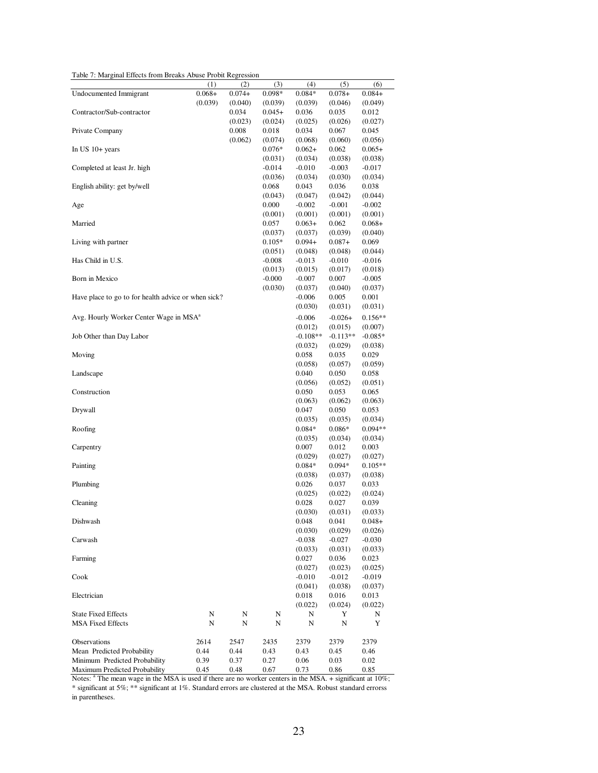Table 7: Marginal Effects from Breaks Abuse Probit Regression

| Table 7: Marginal Effects from Breaks Abuse Probit Regression                                                         |          |                  |                     |                     |                     |                     |
|-----------------------------------------------------------------------------------------------------------------------|----------|------------------|---------------------|---------------------|---------------------|---------------------|
|                                                                                                                       | (1)      | (2)              | (3)                 | (4)                 | (5)                 | (6)                 |
| <b>Undocumented Immigrant</b>                                                                                         | $0.068+$ | $0.074+$         | 0.098*              | $0.084*$            | $0.078+$            | $0.084+$            |
| Contractor/Sub-contractor                                                                                             | (0.039)  | (0.040)          | (0.039)             | (0.039)             | (0.046)             | (0.049)             |
|                                                                                                                       |          | 0.034<br>(0.023) | $0.045+$<br>(0.024) | 0.036<br>(0.025)    | 0.035<br>(0.026)    | 0.012<br>(0.027)    |
| Private Company                                                                                                       |          | 0.008            | 0.018               | 0.034               | 0.067               | 0.045               |
|                                                                                                                       |          | (0.062)          | (0.074)             | (0.068)             | (0.060)             | (0.056)             |
| In US $10+$ years                                                                                                     |          |                  | $0.076*$            | $0.062+$            | 0.062               | $0.065+$            |
|                                                                                                                       |          |                  | (0.031)             | (0.034)             | (0.038)             | (0.038)             |
| Completed at least Jr. high                                                                                           |          |                  | $-0.014$            | $-0.010$            | $-0.003$            | $-0.017$            |
|                                                                                                                       |          |                  | (0.036)             | (0.034)             | (0.030)             | (0.034)             |
| English ability: get by/well                                                                                          |          |                  | 0.068               | 0.043               | 0.036               | 0.038               |
|                                                                                                                       |          |                  | (0.043)             | (0.047)             | (0.042)             | (0.044)             |
| Age                                                                                                                   |          |                  | 0.000               | $-0.002$            | $-0.001$            | $-0.002$            |
|                                                                                                                       |          |                  | (0.001)             | (0.001)             | (0.001)             | (0.001)             |
| Married                                                                                                               |          |                  | 0.057               | $0.063+$            | 0.062               | $0.068+$            |
|                                                                                                                       |          |                  | (0.037)             | (0.037)             | (0.039)             | (0.040)             |
| Living with partner                                                                                                   |          |                  | $0.105*$            | $0.094+$            | $0.087+$            | 0.069               |
|                                                                                                                       |          |                  | (0.051)             | (0.048)             | (0.048)             | (0.044)             |
| Has Child in U.S.                                                                                                     |          |                  | $-0.008$            | $-0.013$            | $-0.010$            | $-0.016$            |
|                                                                                                                       |          |                  | (0.013)             | (0.015)             | (0.017)             | (0.018)             |
| Born in Mexico                                                                                                        |          |                  | $-0.000$            | $-0.007$            | 0.007               | $-0.005$            |
|                                                                                                                       |          |                  | (0.030)             | (0.037)             | (0.040)             | (0.037)             |
| Have place to go to for health advice or when sick?                                                                   |          |                  |                     | $-0.006$            | 0.005               | 0.001               |
|                                                                                                                       |          |                  |                     | (0.030)             | (0.031)             | (0.031)             |
| Avg. Hourly Worker Center Wage in MSA <sup>a</sup>                                                                    |          |                  |                     | $-0.006$            | $-0.026+$           | $0.156**$           |
|                                                                                                                       |          |                  |                     | (0.012)             | (0.015)             | (0.007)             |
| Job Other than Day Labor                                                                                              |          |                  |                     | $-0.108**$          | $-0.113**$          | $-0.085*$           |
|                                                                                                                       |          |                  |                     | (0.032)             | (0.029)             | (0.038)             |
| Moving                                                                                                                |          |                  |                     | 0.058               | 0.035               | 0.029               |
| Landscape                                                                                                             |          |                  |                     | (0.058)<br>0.040    | (0.057)<br>0.050    | (0.059)<br>0.058    |
|                                                                                                                       |          |                  |                     | (0.056)             | (0.052)             | (0.051)             |
| Construction                                                                                                          |          |                  |                     | 0.050               | 0.053               | 0.065               |
|                                                                                                                       |          |                  |                     | (0.063)             | (0.062)             | (0.063)             |
| Drywall                                                                                                               |          |                  |                     | 0.047               | 0.050               | 0.053               |
|                                                                                                                       |          |                  |                     | (0.035)             | (0.035)             | (0.034)             |
| Roofing                                                                                                               |          |                  |                     | $0.084*$            | $0.086*$            | $0.094**$           |
|                                                                                                                       |          |                  |                     | (0.035)             | (0.034)             | (0.034)             |
| Carpentry                                                                                                             |          |                  |                     | 0.007               | 0.012               | 0.003               |
|                                                                                                                       |          |                  |                     | (0.029)             | (0.027)             | (0.027)             |
| Painting                                                                                                              |          |                  |                     | $0.084*$            | $0.094*$            | $0.105**$           |
|                                                                                                                       |          |                  |                     | (0.038)             | (0.037)             | (0.038)             |
| Plumbing                                                                                                              |          |                  |                     | 0.026               | 0.037               | 0.033               |
|                                                                                                                       |          |                  |                     | (0.025)             | (0.022)             | (0.024)             |
| Cleaning                                                                                                              |          |                  |                     | 0.028               | 0.027               | 0.039               |
|                                                                                                                       |          |                  |                     | (0.030)             | (0.031)             | (0.033)             |
| Dishwash                                                                                                              |          |                  |                     | 0.048               | 0.041               | $0.048+$            |
| Carwash                                                                                                               |          |                  |                     | (0.030)<br>$-0.038$ | (0.029)<br>$-0.027$ | (0.026)<br>$-0.030$ |
|                                                                                                                       |          |                  |                     | (0.033)             | (0.031)             | (0.033)             |
| Farming                                                                                                               |          |                  |                     | 0.027               | 0.036               | 0.023               |
|                                                                                                                       |          |                  |                     | (0.027)             | (0.023)             | (0.025)             |
| Cook                                                                                                                  |          |                  |                     | $-0.010$            | $-0.012$            | $-0.019$            |
|                                                                                                                       |          |                  |                     | (0.041)             | (0.038)             | (0.037)             |
| Electrician                                                                                                           |          |                  |                     | 0.018               | 0.016               | 0.013               |
|                                                                                                                       |          |                  |                     | (0.022)             | (0.024)             | (0.022)             |
| <b>State Fixed Effects</b>                                                                                            | N        | N                | N                   | N                   | Y                   | N                   |
| <b>MSA Fixed Effects</b>                                                                                              | N        | N                | N                   | N                   | N                   | Y                   |
|                                                                                                                       |          |                  |                     |                     |                     |                     |
| Observations                                                                                                          | 2614     | 2547             | 2435                | 2379                | 2379                | 2379                |
| Mean Predicted Probability                                                                                            | 0.44     | 0.44             | 0.43                | 0.43                | 0.45                | 0.46                |
| Minimum Predicted Probability                                                                                         | 0.39     | 0.37             | 0.27                | 0.06                | 0.03                | 0.02                |
| Maximum Predicted Probability                                                                                         | 0.45     | 0.48             | 0.67                | 0.73                | 0.86                | 0.85                |
| Notes: <sup>a</sup> The mean wage in the MSA is used if there are no worker centers in the MSA. + significant at 10%; |          |                  |                     |                     |                     |                     |

\* significant at 5%; \*\* significant at 1%. Standard errors are clustered at the MSA. Robust standard errorss in parentheses.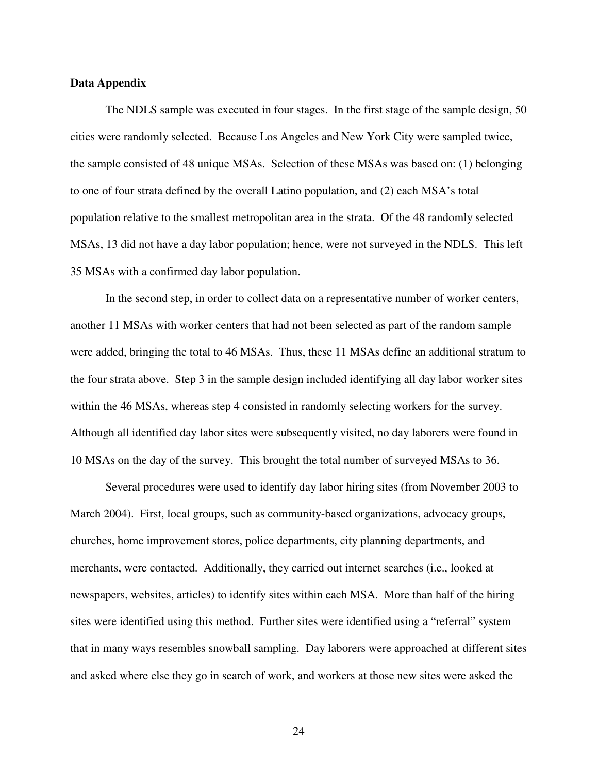### **Data Appendix**

The NDLS sample was executed in four stages. In the first stage of the sample design, 50 cities were randomly selected. Because Los Angeles and New York City were sampled twice, the sample consisted of 48 unique MSAs. Selection of these MSAs was based on: (1) belonging to one of four strata defined by the overall Latino population, and (2) each MSA's total population relative to the smallest metropolitan area in the strata. Of the 48 randomly selected MSAs, 13 did not have a day labor population; hence, were not surveyed in the NDLS. This left 35 MSAs with a confirmed day labor population.

In the second step, in order to collect data on a representative number of worker centers, another 11 MSAs with worker centers that had not been selected as part of the random sample were added, bringing the total to 46 MSAs. Thus, these 11 MSAs define an additional stratum to the four strata above. Step 3 in the sample design included identifying all day labor worker sites within the 46 MSAs, whereas step 4 consisted in randomly selecting workers for the survey. Although all identified day labor sites were subsequently visited, no day laborers were found in 10 MSAs on the day of the survey. This brought the total number of surveyed MSAs to 36.

Several procedures were used to identify day labor hiring sites (from November 2003 to March 2004). First, local groups, such as community-based organizations, advocacy groups, churches, home improvement stores, police departments, city planning departments, and merchants, were contacted. Additionally, they carried out internet searches (i.e., looked at newspapers, websites, articles) to identify sites within each MSA. More than half of the hiring sites were identified using this method. Further sites were identified using a "referral" system that in many ways resembles snowball sampling. Day laborers were approached at different sites and asked where else they go in search of work, and workers at those new sites were asked the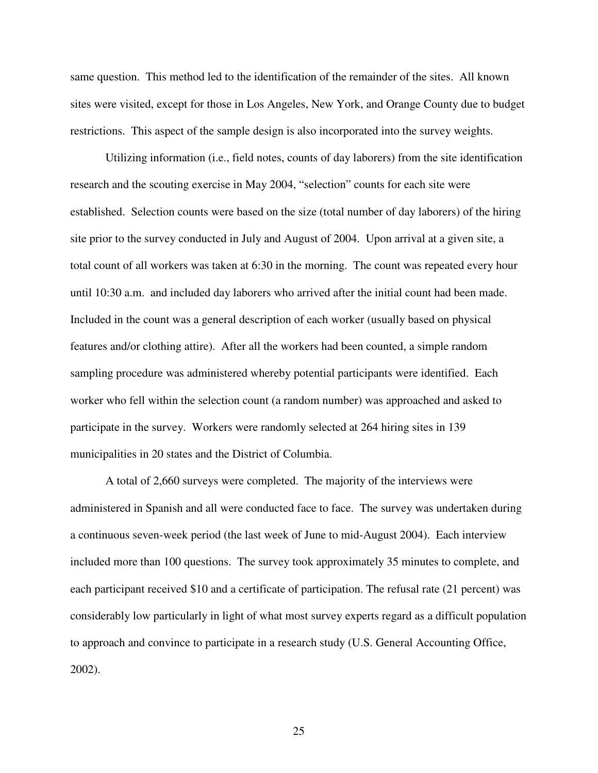same question. This method led to the identification of the remainder of the sites. All known sites were visited, except for those in Los Angeles, New York, and Orange County due to budget restrictions. This aspect of the sample design is also incorporated into the survey weights.

Utilizing information (i.e., field notes, counts of day laborers) from the site identification research and the scouting exercise in May 2004, "selection" counts for each site were established. Selection counts were based on the size (total number of day laborers) of the hiring site prior to the survey conducted in July and August of 2004. Upon arrival at a given site, a total count of all workers was taken at 6:30 in the morning. The count was repeated every hour until 10:30 a.m. and included day laborers who arrived after the initial count had been made. Included in the count was a general description of each worker (usually based on physical features and/or clothing attire). After all the workers had been counted, a simple random sampling procedure was administered whereby potential participants were identified. Each worker who fell within the selection count (a random number) was approached and asked to participate in the survey. Workers were randomly selected at 264 hiring sites in 139 municipalities in 20 states and the District of Columbia.

A total of 2,660 surveys were completed. The majority of the interviews were administered in Spanish and all were conducted face to face. The survey was undertaken during a continuous seven-week period (the last week of June to mid-August 2004). Each interview included more than 100 questions. The survey took approximately 35 minutes to complete, and each participant received \$10 and a certificate of participation. The refusal rate (21 percent) was considerably low particularly in light of what most survey experts regard as a difficult population to approach and convince to participate in a research study (U.S. General Accounting Office, 2002).